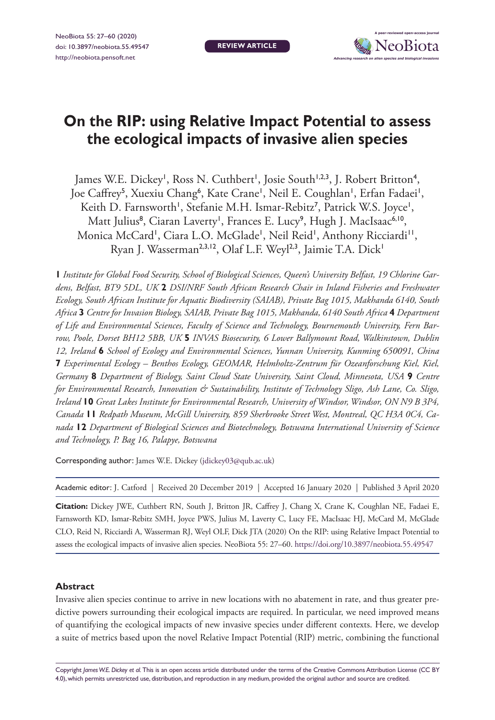

# **On the RIP: using Relative Impact Potential to assess the ecological impacts of invasive alien species**

James W.E. Dickey<sup>1</sup>, Ross N. Cuthbert<sup>1</sup>, Josie South<sup>1,2,3</sup>, J. Robert Britton<sup>4</sup>, Joe Caffrey<sup>5</sup>, Xuexiu Chang<sup>6</sup>, Kate Crane', Neil E. Coughlan', Erfan Fadaei', Keith D. Farnsworth', Stefanie M.H. Ismar-Rebitz<sup>7</sup>, Patrick W.S. Joyce', Matt Julius<sup>8</sup>, Ciaran Laverty', Frances E. Lucy<sup>9</sup>, Hugh J. MacIsaac<sup>6,10</sup>, Monica McCard<sup>1</sup>, Ciara L.O. McGlade<sup>1</sup>, Neil Reid<sup>1</sup>, Anthony Ricciardi<sup>11</sup>, Ryan J. Wasserman<sup>2,3,12</sup>, Olaf L.F. Weyl<sup>2,3</sup>, Jaimie T.A. Dick<sup>1</sup>

**1** *Institute for Global Food Security, School of Biological Sciences, Queen's University Belfast, 19 Chlorine Gardens, Belfast, BT9 5DL, UK* **2** *DSI/NRF South African Research Chair in Inland Fisheries and Freshwater Ecology, South African Institute for Aquatic Biodiversity (SAIAB), Private Bag 1015, Makhanda 6140, South Africa* **3** *Centre for Invasion Biology, SAIAB, Private Bag 1015, Makhanda, 6140 South Africa* **4** *Department of Life and Environmental Sciences, Faculty of Science and Technology, Bournemouth University, Fern Barrow, Poole, Dorset BH12 5BB, UK* **5** *INVAS Biosecurity, 6 Lower Ballymount Road, Walkinstown, Dublin 12, Ireland* **6** *School of Ecology and Environmental Sciences, Yunnan University, Kunming 650091, China*  **7** *Experimental Ecology – Benthos Ecology, GEOMAR, Helmholtz-Zentrum für Ozeanforschung Kiel, Kiel, Germany* **8** *Department of Biology, Saint Cloud State University, Saint Cloud, Minnesota, USA* **9** *Centre for Environmental Research, Innovation & Sustainability, Institute of Technology Sligo, Ash Lane, Co. Sligo, Ireland* **10** *Great Lakes Institute for Environmental Research, University of Windsor, Windsor, ON N9 B 3P4, Canada* **11** *Redpath Museum, McGill University, 859 Sherbrooke Street West, Montreal, QC H3A 0C4, Canada* **12** *Department of Biological Sciences and Biotechnology, Botswana International University of Science and Technology, P. Bag 16, Palapye, Botswana*

Corresponding author: James W.E. Dickey [\(jdickey03@qub.ac.uk](mailto:jdickey03@qub.ac.uk))

| Academic editor: J. Catford   Received 20 December 2019   Accepted 16 January 2020   Published 3 April 2020 |  |  |
|-------------------------------------------------------------------------------------------------------------|--|--|
|-------------------------------------------------------------------------------------------------------------|--|--|

**Citation:** Dickey JWE, Cuthbert RN, South J, Britton JR, Caffrey J, Chang X, Crane K, Coughlan NE, Fadaei E, Farnsworth KD, Ismar-Rebitz SMH, Joyce PWS, Julius M, Laverty C, Lucy FE, MacIsaac HJ, McCard M, McGlade CLO, Reid N, Ricciardi A, Wasserman RJ, Weyl OLF, Dick JTA (2020) On the RIP: using Relative Impact Potential to assess the ecological impacts of invasive alien species. NeoBiota 55: 27–60. <https://doi.org/10.3897/neobiota.55.49547>

#### **Abstract**

Invasive alien species continue to arrive in new locations with no abatement in rate, and thus greater predictive powers surrounding their ecological impacts are required. In particular, we need improved means of quantifying the ecological impacts of new invasive species under different contexts. Here, we develop a suite of metrics based upon the novel Relative Impact Potential (RIP) metric, combining the functional

Copyright *James W.E. Dickey et al.* This is an open access article distributed under the terms of the [Creative Commons Attribution License \(CC BY](http://creativecommons.org/licenses/by/4.0/)  [4.0\),](http://creativecommons.org/licenses/by/4.0/) which permits unrestricted use, distribution, and reproduction in any medium, provided the original author and source are credited.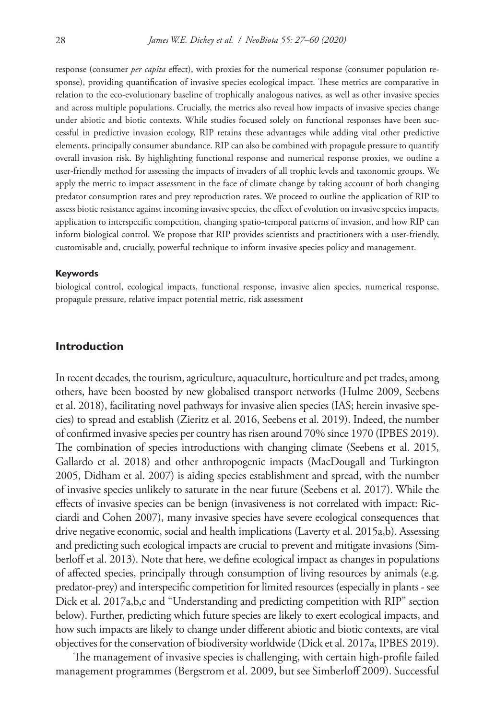response (consumer *per capita* effect), with proxies for the numerical response (consumer population response), providing quantification of invasive species ecological impact. These metrics are comparative in relation to the eco-evolutionary baseline of trophically analogous natives, as well as other invasive species and across multiple populations. Crucially, the metrics also reveal how impacts of invasive species change under abiotic and biotic contexts. While studies focused solely on functional responses have been successful in predictive invasion ecology, RIP retains these advantages while adding vital other predictive elements, principally consumer abundance. RIP can also be combined with propagule pressure to quantify overall invasion risk. By highlighting functional response and numerical response proxies, we outline a user-friendly method for assessing the impacts of invaders of all trophic levels and taxonomic groups. We apply the metric to impact assessment in the face of climate change by taking account of both changing predator consumption rates and prey reproduction rates. We proceed to outline the application of RIP to assess biotic resistance against incoming invasive species, the effect of evolution on invasive species impacts, application to interspecific competition, changing spatio-temporal patterns of invasion, and how RIP can inform biological control. We propose that RIP provides scientists and practitioners with a user-friendly, customisable and, crucially, powerful technique to inform invasive species policy and management.

#### **Keywords**

biological control, ecological impacts, functional response, invasive alien species, numerical response, propagule pressure, relative impact potential metric, risk assessment

## **Introduction**

In recent decades, the tourism, agriculture, aquaculture, horticulture and pet trades, among others, have been boosted by new globalised transport networks (Hulme 2009, Seebens et al. 2018), facilitating novel pathways for invasive alien species (IAS; herein invasive species) to spread and establish (Zieritz et al. 2016, Seebens et al. 2019). Indeed, the number of confirmed invasive species per country has risen around 70% since 1970 (IPBES 2019). The combination of species introductions with changing climate (Seebens et al. 2015, Gallardo et al. 2018) and other anthropogenic impacts (MacDougall and Turkington 2005, Didham et al. 2007) is aiding species establishment and spread, with the number of invasive species unlikely to saturate in the near future (Seebens et al. 2017). While the effects of invasive species can be benign (invasiveness is not correlated with impact: Ricciardi and Cohen 2007), many invasive species have severe ecological consequences that drive negative economic, social and health implications (Laverty et al. 2015a,b). Assessing and predicting such ecological impacts are crucial to prevent and mitigate invasions (Simberloff et al. 2013). Note that here, we define ecological impact as changes in populations of affected species, principally through consumption of living resources by animals (e.g. predator-prey) and interspecific competition for limited resources (especially in plants - see Dick et al. 2017a,b,c and "Understanding and predicting competition with RIP" section below). Further, predicting which future species are likely to exert ecological impacts, and how such impacts are likely to change under different abiotic and biotic contexts, are vital objectives for the conservation of biodiversity worldwide (Dick et al. 2017a, IPBES 2019).

The management of invasive species is challenging, with certain high-profile failed management programmes (Bergstrom et al. 2009, but see Simberloff 2009). Successful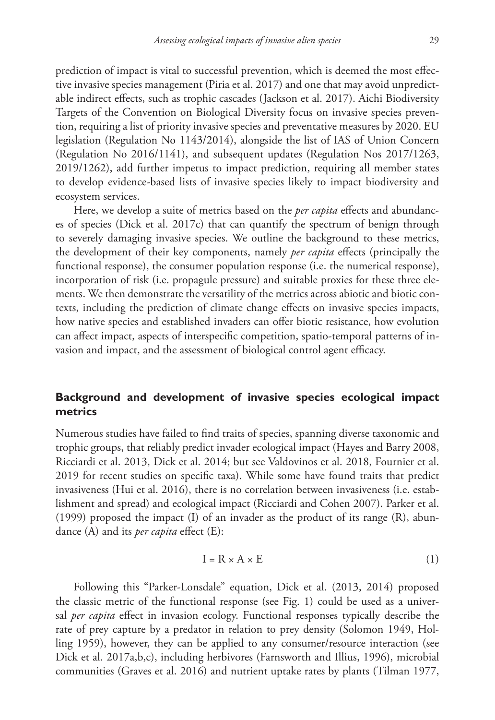prediction of impact is vital to successful prevention, which is deemed the most effective invasive species management (Piria et al. 2017) and one that may avoid unpredictable indirect effects, such as trophic cascades (Jackson et al. 2017). Aichi Biodiversity Targets of the Convention on Biological Diversity focus on invasive species prevention, requiring a list of priority invasive species and preventative measures by 2020. EU legislation (Regulation No 1143/2014), alongside the list of IAS of Union Concern (Regulation No 2016/1141), and subsequent updates (Regulation Nos 2017/1263, 2019/1262), add further impetus to impact prediction, requiring all member states to develop evidence-based lists of invasive species likely to impact biodiversity and ecosystem services.

Here, we develop a suite of metrics based on the *per capita* effects and abundances of species (Dick et al. 2017c) that can quantify the spectrum of benign through to severely damaging invasive species. We outline the background to these metrics, the development of their key components, namely *per capita* effects (principally the functional response), the consumer population response (i.e. the numerical response), incorporation of risk (i.e. propagule pressure) and suitable proxies for these three elements. We then demonstrate the versatility of the metrics across abiotic and biotic contexts, including the prediction of climate change effects on invasive species impacts, how native species and established invaders can offer biotic resistance, how evolution can affect impact, aspects of interspecific competition, spatio-temporal patterns of invasion and impact, and the assessment of biological control agent efficacy.

# **Background and development of invasive species ecological impact metrics**

Numerous studies have failed to find traits of species, spanning diverse taxonomic and trophic groups, that reliably predict invader ecological impact (Hayes and Barry 2008, Ricciardi et al. 2013, Dick et al. 2014; but see Valdovinos et al. 2018, Fournier et al. 2019 for recent studies on specific taxa). While some have found traits that predict invasiveness (Hui et al. 2016), there is no correlation between invasiveness (i.e. establishment and spread) and ecological impact (Ricciardi and Cohen 2007). Parker et al. (1999) proposed the impact (I) of an invader as the product of its range (R), abundance (A) and its *per capita* effect (E):

$$
I = R \times A \times E \tag{1}
$$

Following this "Parker-Lonsdale" equation, Dick et al. (2013, 2014) proposed the classic metric of the functional response (see Fig. 1) could be used as a universal *per capita* effect in invasion ecology. Functional responses typically describe the rate of prey capture by a predator in relation to prey density (Solomon 1949, Holling 1959), however, they can be applied to any consumer/resource interaction (see Dick et al. 2017a,b,c), including herbivores (Farnsworth and Illius, 1996), microbial communities (Graves et al. 2016) and nutrient uptake rates by plants (Tilman 1977,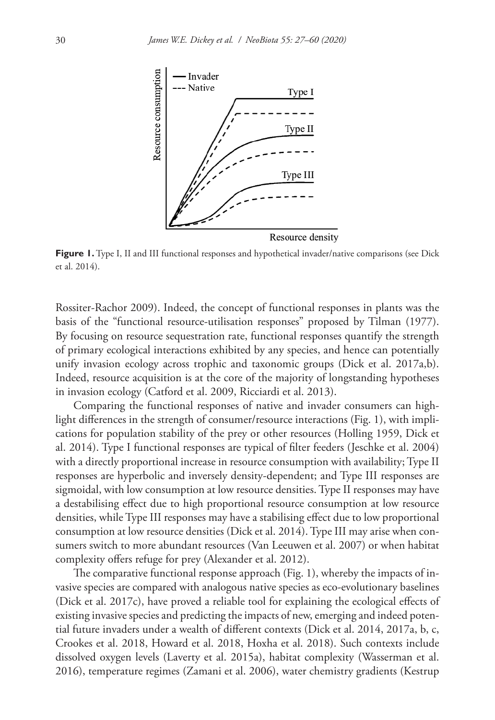

Figure 1. Type I, II and III functional responses and hypothetical invader/native comparisons (see Dick et al. 2014).

Rossiter-Rachor 2009). Indeed, the concept of functional responses in plants was the basis of the "functional resource-utilisation responses" proposed by Tilman (1977). By focusing on resource sequestration rate, functional responses quantify the strength of primary ecological interactions exhibited by any species, and hence can potentially unify invasion ecology across trophic and taxonomic groups (Dick et al. 2017a,b). Indeed, resource acquisition is at the core of the majority of longstanding hypotheses in invasion ecology (Catford et al. 2009, Ricciardi et al. 2013).

Comparing the functional responses of native and invader consumers can highlight differences in the strength of consumer/resource interactions (Fig. 1), with implications for population stability of the prey or other resources (Holling 1959, Dick et al. 2014). Type I functional responses are typical of filter feeders (Jeschke et al. 2004) with a directly proportional increase in resource consumption with availability; Type II responses are hyperbolic and inversely density-dependent; and Type III responses are sigmoidal, with low consumption at low resource densities. Type II responses may have a destabilising effect due to high proportional resource consumption at low resource densities, while Type III responses may have a stabilising effect due to low proportional consumption at low resource densities (Dick et al. 2014). Type III may arise when consumers switch to more abundant resources (Van Leeuwen et al. 2007) or when habitat complexity offers refuge for prey (Alexander et al. 2012).

The comparative functional response approach (Fig. 1), whereby the impacts of invasive species are compared with analogous native species as eco-evolutionary baselines (Dick et al. 2017c), have proved a reliable tool for explaining the ecological effects of existing invasive species and predicting the impacts of new, emerging and indeed potential future invaders under a wealth of different contexts (Dick et al. 2014, 2017a, b, c, Crookes et al. 2018, Howard et al. 2018, Hoxha et al. 2018). Such contexts include dissolved oxygen levels (Laverty et al. 2015a), habitat complexity (Wasserman et al. 2016), temperature regimes (Zamani et al. 2006), water chemistry gradients (Kestrup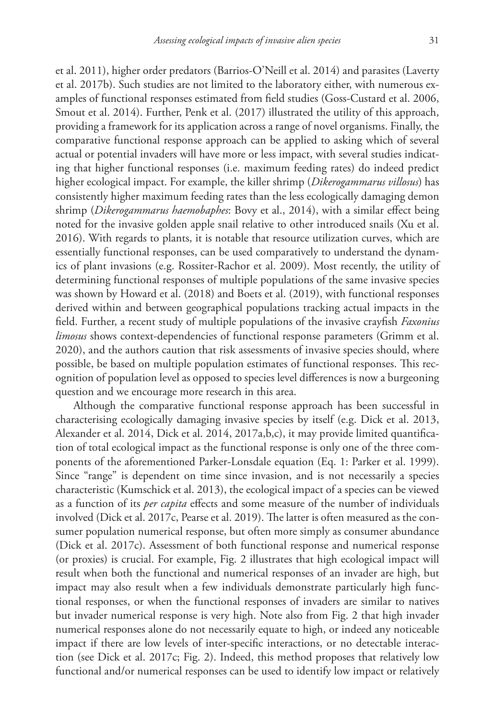et al. 2011), higher order predators (Barrios-O'Neill et al. 2014) and parasites (Laverty et al. 2017b). Such studies are not limited to the laboratory either, with numerous examples of functional responses estimated from field studies (Goss-Custard et al. 2006, Smout et al. 2014). Further, Penk et al. (2017) illustrated the utility of this approach, providing a framework for its application across a range of novel organisms. Finally, the comparative functional response approach can be applied to asking which of several actual or potential invaders will have more or less impact, with several studies indicating that higher functional responses (i.e. maximum feeding rates) do indeed predict higher ecological impact. For example, the killer shrimp (*Dikerogammarus villosus*) has consistently higher maximum feeding rates than the less ecologically damaging demon shrimp (*Dikerogammarus haemobaphes*: Bovy et al., 2014), with a similar effect being

noted for the invasive golden apple snail relative to other introduced snails (Xu et al. 2016). With regards to plants, it is notable that resource utilization curves, which are essentially functional responses, can be used comparatively to understand the dynamics of plant invasions (e.g. Rossiter-Rachor et al. 2009). Most recently, the utility of determining functional responses of multiple populations of the same invasive species was shown by Howard et al. (2018) and Boets et al. (2019), with functional responses derived within and between geographical populations tracking actual impacts in the field. Further, a recent study of multiple populations of the invasive crayfish *Faxonius limosus* shows context-dependencies of functional response parameters (Grimm et al. 2020), and the authors caution that risk assessments of invasive species should, where possible, be based on multiple population estimates of functional responses. This recognition of population level as opposed to species level differences is now a burgeoning question and we encourage more research in this area.

Although the comparative functional response approach has been successful in characterising ecologically damaging invasive species by itself (e.g. Dick et al. 2013, Alexander et al. 2014, Dick et al. 2014, 2017a,b,c), it may provide limited quantification of total ecological impact as the functional response is only one of the three components of the aforementioned Parker-Lonsdale equation (Eq. 1: Parker et al. 1999). Since "range" is dependent on time since invasion, and is not necessarily a species characteristic (Kumschick et al. 2013), the ecological impact of a species can be viewed as a function of its *per capita* effects and some measure of the number of individuals involved (Dick et al. 2017c, Pearse et al. 2019). The latter is often measured as the consumer population numerical response, but often more simply as consumer abundance (Dick et al. 2017c). Assessment of both functional response and numerical response (or proxies) is crucial. For example, Fig. 2 illustrates that high ecological impact will result when both the functional and numerical responses of an invader are high, but impact may also result when a few individuals demonstrate particularly high functional responses, or when the functional responses of invaders are similar to natives but invader numerical response is very high. Note also from Fig. 2 that high invader numerical responses alone do not necessarily equate to high, or indeed any noticeable impact if there are low levels of inter-specific interactions, or no detectable interaction (see Dick et al. 2017c; Fig. 2). Indeed, this method proposes that relatively low functional and/or numerical responses can be used to identify low impact or relatively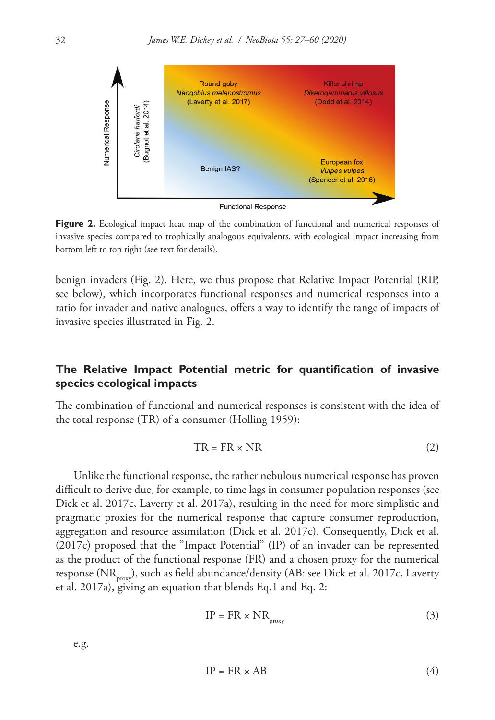

**Figure 2.** Ecological impact heat map of the combination of functional and numerical responses of invasive species compared to trophically analogous equivalents, with ecological impact increasing from bottom left to top right (see text for details).

benign invaders (Fig. 2). Here, we thus propose that Relative Impact Potential (RIP, see below), which incorporates functional responses and numerical responses into a ratio for invader and native analogues, offers a way to identify the range of impacts of invasive species illustrated in Fig. 2.

# **The Relative Impact Potential metric for quantification of invasive species ecological impacts**

The combination of functional and numerical responses is consistent with the idea of the total response (TR) of a consumer (Holling 1959):

$$
TR = FR \times NR \tag{2}
$$

Unlike the functional response, the rather nebulous numerical response has proven difficult to derive due, for example, to time lags in consumer population responses (see Dick et al. 2017c, Laverty et al. 2017a), resulting in the need for more simplistic and pragmatic proxies for the numerical response that capture consumer reproduction, aggregation and resource assimilation (Dick et al. 2017c). Consequently, Dick et al. (2017c) proposed that the "Impact Potential" (IP) of an invader can be represented as the product of the functional response (FR) and a chosen proxy for the numerical response (NR<sub>proxy</sub>), such as field abundance/density (AB: see Dick et al. 2017c, Laverty et al. 2017a), giving an equation that blends Eq.1 and Eq. 2:

$$
IP = FR \times NR_{\text{proxy}}
$$
 (3)

e.g.

$$
IP = FR \times AB \tag{4}
$$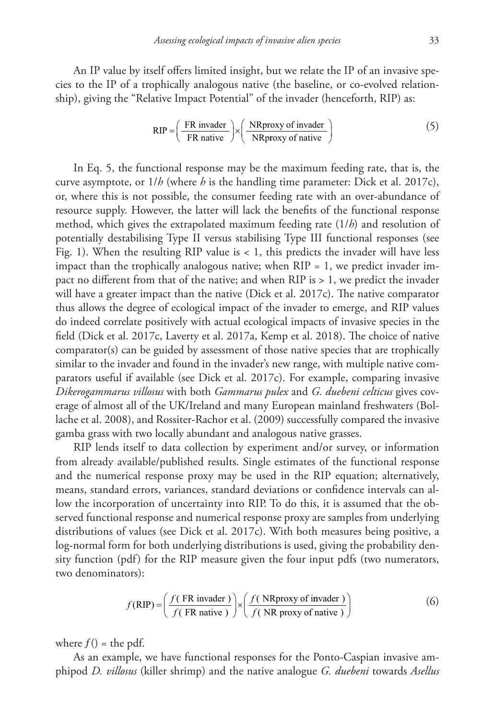An IP value by itself offers limited insight, but we relate the IP of an invasive species to the IP of a trophically analogous native (the baseline, or co-evolved relationship), giving the "Relative Impact Potential" of the invader (henceforth, RIP) as:

$$
RIP = \left(\frac{FR \text{ invader}}{FR \text{ native}}\right) \times \left(\frac{NR \text{ proxy of invader}}{NR \text{ proxy of native}}\right) \tag{5}
$$

In Eq. 5, the functional response may be the maximum feeding rate, that is, the curve asymptote, or 1/*h* (where *h* is the handling time parameter: Dick et al. 2017c), or, where this is not possible, the consumer feeding rate with an over-abundance of resource supply. However, the latter will lack the benefits of the functional response method, which gives the extrapolated maximum feeding rate (1/*h*) and resolution of potentially destabilising Type II versus stabilising Type III functional responses (see Fig. 1). When the resulting RIP value is < 1, this predicts the invader will have less impact than the trophically analogous native; when  $RIP = 1$ , we predict invader impact no different from that of the native; and when RIP is > 1, we predict the invader will have a greater impact than the native (Dick et al. 2017c). The native comparator thus allows the degree of ecological impact of the invader to emerge, and RIP values do indeed correlate positively with actual ecological impacts of invasive species in the field (Dick et al. 2017c, Laverty et al. 2017a, Kemp et al. 2018). The choice of native comparator(s) can be guided by assessment of those native species that are trophically similar to the invader and found in the invader's new range, with multiple native comparators useful if available (see Dick et al. 2017c). For example, comparing invasive *Dikerogammarus villosus* with both *Gammarus pulex* and *G. duebeni celticus* gives coverage of almost all of the UK/Ireland and many European mainland freshwaters (Bollache et al. 2008), and Rossiter-Rachor et al. (2009) successfully compared the invasive gamba grass with two locally abundant and analogous native grasses.

RIP lends itself to data collection by experiment and/or survey, or information from already available/published results. Single estimates of the functional response and the numerical response proxy may be used in the RIP equation; alternatively, means, standard errors, variances, standard deviations or confidence intervals can allow the incorporation of uncertainty into RIP. To do this, it is assumed that the observed functional response and numerical response proxy are samples from underlying distributions of values (see Dick et al. 2017c). With both measures being positive, a log-normal form for both underlying distributions is used, giving the probability density function (pdf) for the RIP measure given the four input pdfs (two numerators, two denominators):

$$
f(RIP) = \left(\frac{f(FR \text{ invader})}{f(FR \text{ native})}\right) \times \left(\frac{f(NR \text{ proxy of invader})}{f(NR \text{ proxy of native})}\right)
$$
 (6)

where  $f()$  = the pdf.

As an example, we have functional responses for the Ponto-Caspian invasive amphipod *D. villosus* (killer shrimp) and the native analogue *G. duebeni* towards *Asellus*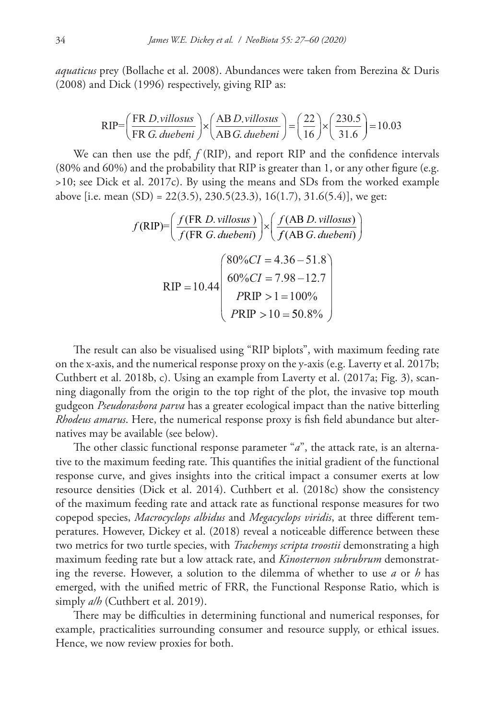*aquaticus* prey (Bollache et al. 2008). Abundances were taken from Berezina & Duris (2008) and Dick (1996) respectively, giving RIP as:

$$
RIP = \left(\frac{FR \ D. villoss}{FR \ G. \ duebeni}\right) \times \left(\frac{AB \ D. villoss}{AB \ G. \ duebeni}\right) = \left(\frac{22}{16}\right) \times \left(\frac{230.5}{31.6}\right) = 10.03
$$

We can then use the pdf,  $f(RIP)$ , and report RIP and the confidence intervals (80% and 60%) and the probability that RIP is greater than 1, or any other figure (e.g. >10; see Dick et al. 2017c). By using the means and SDs from the worked example above [i.e. mean  $(SD) = 22(3.5), 230.5(23.3), 16(1.7), 31.6(5.4)$ ], we get:

$$
f(RIP) = \left(\frac{f(FR \ D.villoss)}{f(FR \ G.duebeni)}\right) \times \left(\frac{f(AB \ D.villoss)}{f(AB \ G.duebeni)}\right)
$$
  
 
$$
RIP = 10.44 \left(\begin{array}{c} 80\%CI = 4.36 - 51.8\\ 60\%CI = 7.98 - 12.7\\ PRIP > 1 = 100\%\\ PRIP > 10 = 50.8\% \end{array}\right)
$$

The result can also be visualised using "RIP biplots", with maximum feeding rate on the x-axis, and the numerical response proxy on the y-axis (e.g. Laverty et al. 2017b; Cuthbert et al. 2018b, c). Using an example from Laverty et al. (2017a; Fig. 3), scanning diagonally from the origin to the top right of the plot, the invasive top mouth gudgeon *Pseudorasbora parva* has a greater ecological impact than the native bitterling *Rhodeus amarus*. Here, the numerical response proxy is fish field abundance but alternatives may be available (see below).

The other classic functional response parameter "*a*", the attack rate, is an alternative to the maximum feeding rate. This quantifies the initial gradient of the functional response curve, and gives insights into the critical impact a consumer exerts at low resource densities (Dick et al. 2014). Cuthbert et al. (2018c) show the consistency of the maximum feeding rate and attack rate as functional response measures for two copepod species, *Macrocyclops albidus* and *Megacyclops viridis*, at three different temperatures. However, Dickey et al. (2018) reveal a noticeable difference between these two metrics for two turtle species, with *Trachemys scripta troostii* demonstrating a high maximum feeding rate but a low attack rate, and *Kinosternon subrubrum* demonstrating the reverse. However, a solution to the dilemma of whether to use *a* or *h* has emerged, with the unified metric of FRR, the Functional Response Ratio, which is simply *a/h* (Cuthbert et al. 2019).

There may be difficulties in determining functional and numerical responses, for example, practicalities surrounding consumer and resource supply, or ethical issues. Hence, we now review proxies for both.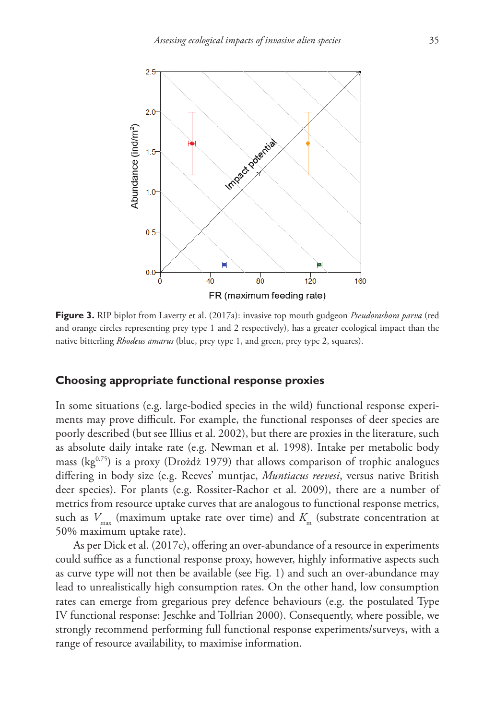

**Figure 3.** RIP biplot from Laverty et al. (2017a): invasive top mouth gudgeon *Pseudorasbora parva* (red and orange circles representing prey type 1 and 2 respectively), has a greater ecological impact than the native bitterling *Rhodeus amarus* (blue, prey type 1, and green, prey type 2, squares).

## **Choosing appropriate functional response proxies**

In some situations (e.g. large-bodied species in the wild) functional response experiments may prove difficult. For example, the functional responses of deer species are poorly described (but see Illius et al. 2002), but there are proxies in the literature, such as absolute daily intake rate (e.g. Newman et al. 1998). Intake per metabolic body mass ( $kg^{0.75}$ ) is a proxy (Drożdż 1979) that allows comparison of trophic analogues differing in body size (e.g. Reeves' muntjac, *Muntiacus reevesi*, versus native British deer species). For plants (e.g. Rossiter-Rachor et al. 2009), there are a number of metrics from resource uptake curves that are analogous to functional response metrics, such as  $V_{\text{max}}$  (maximum uptake rate over time) and  $K_{\text{max}}$  (substrate concentration at 50% maximum uptake rate).

As per Dick et al. (2017c), offering an over-abundance of a resource in experiments could suffice as a functional response proxy, however, highly informative aspects such as curve type will not then be available (see Fig. 1) and such an over-abundance may lead to unrealistically high consumption rates. On the other hand, low consumption rates can emerge from gregarious prey defence behaviours (e.g. the postulated Type IV functional response: Jeschke and Tollrian 2000). Consequently, where possible, we strongly recommend performing full functional response experiments/surveys, with a range of resource availability, to maximise information.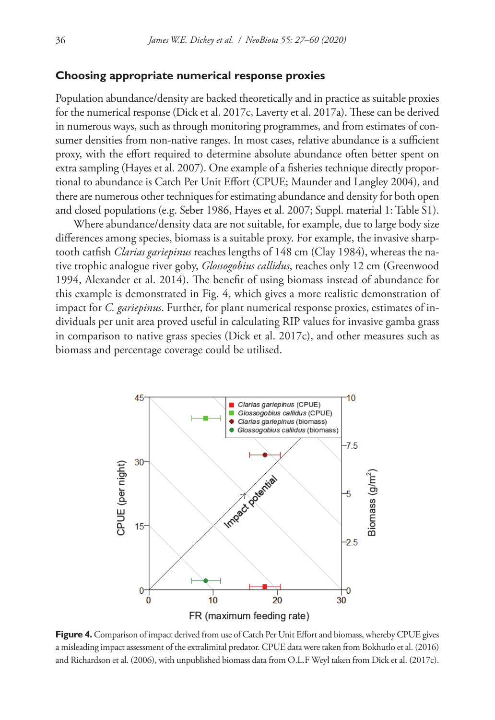## **Choosing appropriate numerical response proxies**

Population abundance/density are backed theoretically and in practice as suitable proxies for the numerical response (Dick et al. 2017c, Laverty et al. 2017a). These can be derived in numerous ways, such as through monitoring programmes, and from estimates of consumer densities from non-native ranges. In most cases, relative abundance is a sufficient proxy, with the effort required to determine absolute abundance often better spent on extra sampling (Hayes et al. 2007). One example of a fisheries technique directly proportional to abundance is Catch Per Unit Effort (CPUE; Maunder and Langley 2004), and there are numerous other techniques for estimating abundance and density for both open and closed populations (e.g. Seber 1986, Hayes et al. 2007; Suppl. material 1: Table S1).

Where abundance/density data are not suitable, for example, due to large body size differences among species, biomass is a suitable proxy. For example, the invasive sharptooth catfish *Clarias gariepinus* reaches lengths of 148 cm (Clay 1984), whereas the native trophic analogue river goby, *Glossogobius callidus*, reaches only 12 cm (Greenwood 1994, Alexander et al. 2014). The benefit of using biomass instead of abundance for this example is demonstrated in Fig. 4, which gives a more realistic demonstration of impact for *C. gariepinus*. Further, for plant numerical response proxies, estimates of individuals per unit area proved useful in calculating RIP values for invasive gamba grass in comparison to native grass species (Dick et al. 2017c), and other measures such as biomass and percentage coverage could be utilised.



**Figure 4.** Comparison of impact derived from use of Catch Per Unit Effort and biomass, whereby CPUE gives a misleading impact assessment of the extralimital predator. CPUE data were taken from Bokhutlo et al. (2016) and Richardson et al. (2006), with unpublished biomass data from O.L.F Weyl taken from Dick et al. (2017c).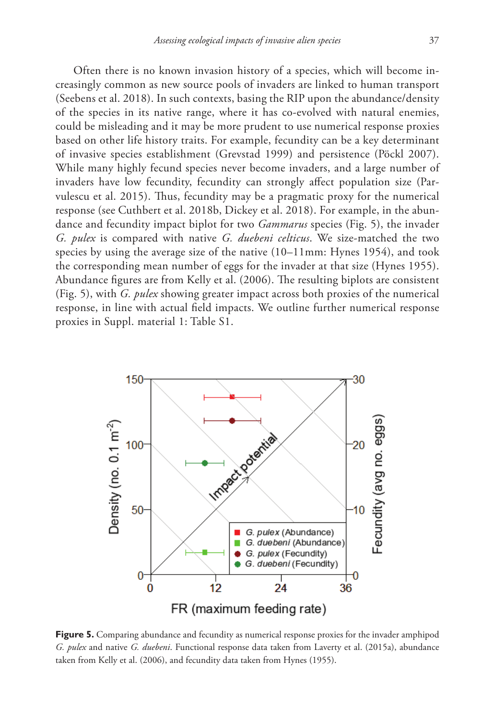Often there is no known invasion history of a species, which will become increasingly common as new source pools of invaders are linked to human transport (Seebens et al. 2018). In such contexts, basing the RIP upon the abundance/density of the species in its native range, where it has co-evolved with natural enemies, could be misleading and it may be more prudent to use numerical response proxies based on other life history traits. For example, fecundity can be a key determinant of invasive species establishment (Grevstad 1999) and persistence (Pöckl 2007). While many highly fecund species never become invaders, and a large number of invaders have low fecundity, fecundity can strongly affect population size (Parvulescu et al. 2015). Thus, fecundity may be a pragmatic proxy for the numerical response (see Cuthbert et al. 2018b, Dickey et al. 2018). For example, in the abundance and fecundity impact biplot for two *Gammarus* species (Fig. 5), the invader *G. pulex* is compared with native *G. duebeni celticus*. We size-matched the two species by using the average size of the native (10–11mm: Hynes 1954), and took the corresponding mean number of eggs for the invader at that size (Hynes 1955). Abundance figures are from Kelly et al. (2006). The resulting biplots are consistent (Fig. 5), with *G. pulex* showing greater impact across both proxies of the numerical response, in line with actual field impacts. We outline further numerical response proxies in Suppl. material 1: Table S1.

![](_page_10_Figure_2.jpeg)

**Figure 5.** Comparing abundance and fecundity as numerical response proxies for the invader amphipod *G. pulex* and native *G. duebeni*. Functional response data taken from Laverty et al. (2015a), abundance taken from Kelly et al. (2006), and fecundity data taken from Hynes (1955).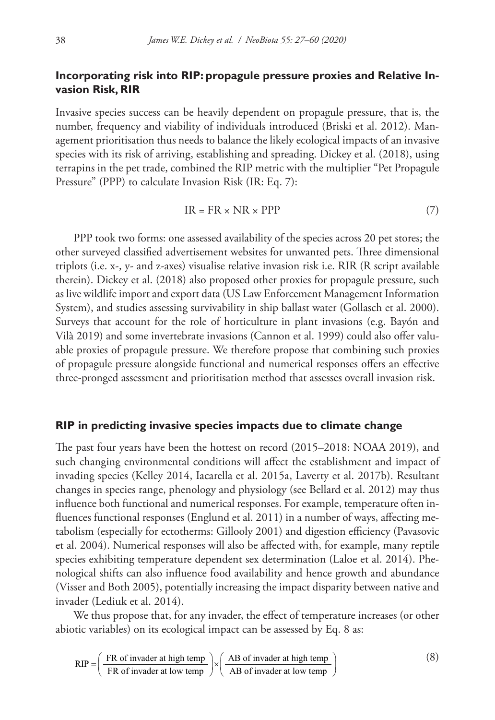# **Incorporating risk into RIP: propagule pressure proxies and Relative Invasion Risk, RIR**

Invasive species success can be heavily dependent on propagule pressure, that is, the number, frequency and viability of individuals introduced (Briski et al. 2012). Management prioritisation thus needs to balance the likely ecological impacts of an invasive species with its risk of arriving, establishing and spreading. Dickey et al. (2018), using terrapins in the pet trade, combined the RIP metric with the multiplier "Pet Propagule Pressure" (PPP) to calculate Invasion Risk (IR: Eq. 7):

$$
IR = FR \times NR \times PPP \tag{7}
$$

PPP took two forms: one assessed availability of the species across 20 pet stores; the other surveyed classified advertisement websites for unwanted pets. Three dimensional triplots (i.e. x-, y- and z-axes) visualise relative invasion risk i.e. RIR (R script available therein). Dickey et al. (2018) also proposed other proxies for propagule pressure, such as live wildlife import and export data (US Law Enforcement Management Information System), and studies assessing survivability in ship ballast water (Gollasch et al. 2000). Surveys that account for the role of horticulture in plant invasions (e.g. Bayón and Vilà 2019) and some invertebrate invasions (Cannon et al. 1999) could also offer valuable proxies of propagule pressure. We therefore propose that combining such proxies of propagule pressure alongside functional and numerical responses offers an effective three-pronged assessment and prioritisation method that assesses overall invasion risk.

## **RIP in predicting invasive species impacts due to climate change**

The past four years have been the hottest on record (2015–2018: NOAA 2019), and such changing environmental conditions will affect the establishment and impact of invading species (Kelley 2014, Iacarella et al. 2015a, Laverty et al. 2017b). Resultant changes in species range, phenology and physiology (see Bellard et al. 2012) may thus influence both functional and numerical responses. For example, temperature often influences functional responses (Englund et al. 2011) in a number of ways, affecting metabolism (especially for ectotherms: Gillooly 2001) and digestion efficiency (Pavasovic et al. 2004). Numerical responses will also be affected with, for example, many reptile species exhibiting temperature dependent sex determination (Laloe et al. 2014). Phenological shifts can also influence food availability and hence growth and abundance (Visser and Both 2005), potentially increasing the impact disparity between native and invader (Lediuk et al. 2014).

We thus propose that, for any invader, the effect of temperature increases (or other abiotic variables) on its ecological impact can be assessed by Eq. 8 as:

$$
RIP = \left(\frac{FR \text{ of invader at high temp}}{FR \text{ of invader at low temp}}\right) \times \left(\frac{AB \text{ of invader at high temp}}{AB \text{ of invader at low temp}}\right) \tag{8}
$$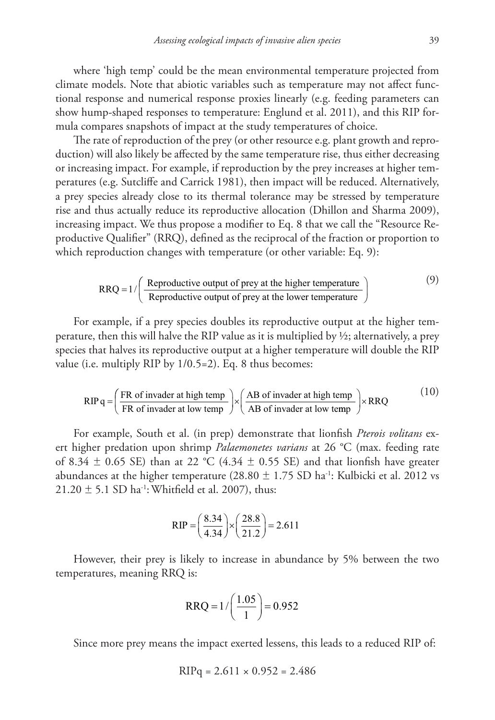where 'high temp' could be the mean environmental temperature projected from climate models. Note that abiotic variables such as temperature may not affect functional response and numerical response proxies linearly (e.g. feeding parameters can show hump-shaped responses to temperature: Englund et al. 2011), and this RIP formula compares snapshots of impact at the study temperatures of choice.

The rate of reproduction of the prey (or other resource e.g. plant growth and reproduction) will also likely be affected by the same temperature rise, thus either decreasing or increasing impact. For example, if reproduction by the prey increases at higher temperatures (e.g. Sutcliffe and Carrick 1981), then impact will be reduced. Alternatively, a prey species already close to its thermal tolerance may be stressed by temperature rise and thus actually reduce its reproductive allocation (Dhillon and Sharma 2009), increasing impact. We thus propose a modifier to Eq. 8 that we call the "Resource Reproductive Qualifier" (RRQ), defined as the reciprocal of the fraction or proportion to which reproduction changes with temperature (or other variable: Eq. 9):

$$
RRQ = 1 / \left( \frac{Reproductive output of prey at the higher temperature}{Reproductive output of prey at the lower temperature} \right)
$$
 (9)

For example, if a prey species doubles its reproductive output at the higher temperature, then this will halve the RIP value as it is multiplied by ½; alternatively, a prey species that halves its reproductive output at a higher temperature will double the RIP value (i.e. multiply RIP by 1/0.5=2). Eq. 8 thus becomes:

$$
RIPq = \left(\frac{FR \text{ of invader at high temp}}{FR \text{ of invader at low temp}}\right) \times \left(\frac{AB \text{ of invader at high temp}}{AB \text{ of invader at low temp}}\right) \times RRQ
$$
 (10)

For example, South et al. (in prep) demonstrate that lionfish *Pterois volitans* exert higher predation upon shrimp *Palaemonetes varians* at 26 °C (max. feeding rate of 8.34  $\pm$  0.65 SE) than at 22 °C (4.34  $\pm$  0.55 SE) and that lionfish have greater abundances at the higher temperature (28.80  $\pm$  1.75 SD ha<sup>-1</sup>: Kulbicki et al. 2012 vs  $21.20 \pm 5.1$  SD ha<sup>-1</sup>: Whitfield et al. 2007), thus:

$$
RIP = \left(\frac{8.34}{4.34}\right) \times \left(\frac{28.8}{21.2}\right) = 2.611
$$

However, their prey is likely to increase in abundance by 5% between the two temperatures, meaning RRQ is:

$$
RRQ = 1 / \left(\frac{1.05}{1}\right) = 0.952
$$

Since more prey means the impact exerted lessens, this leads to a reduced RIP of:

$$
RIPq = 2.611 \times 0.952 = 2.486
$$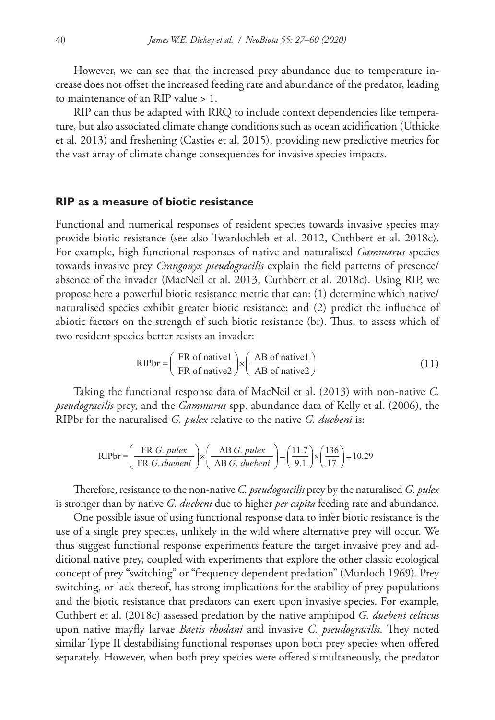However, we can see that the increased prey abundance due to temperature increase does not offset the increased feeding rate and abundance of the predator, leading to maintenance of an RIP value > 1.

RIP can thus be adapted with RRQ to include context dependencies like temperature, but also associated climate change conditions such as ocean acidification (Uthicke et al. 2013) and freshening (Casties et al. 2015), providing new predictive metrics for the vast array of climate change consequences for invasive species impacts.

## **RIP as a measure of biotic resistance**

Functional and numerical responses of resident species towards invasive species may provide biotic resistance (see also Twardochleb et al. 2012, Cuthbert et al. 2018c). For example, high functional responses of native and naturalised *Gammarus* species towards invasive prey *Crangonyx pseudogracilis* explain the field patterns of presence/ absence of the invader (MacNeil et al. 2013, Cuthbert et al. 2018c). Using RIP, we propose here a powerful biotic resistance metric that can: (1) determine which native/ naturalised species exhibit greater biotic resistance; and (2) predict the influence of abiotic factors on the strength of such biotic resistance (br). Thus, to assess which of two resident species better resists an invader:

$$
RIPbr = \left(\frac{FR \text{ of native1}}{FR \text{ of native2}}\right) \times \left(\frac{AB \text{ of native1}}{AB \text{ of native2}}\right) \tag{11}
$$

Taking the functional response data of MacNeil et al. (2013) with non-native *C. pseudogracilis* prey, and the *Gammarus* spp. abundance data of Kelly et al. (2006), the RIPbr for the naturalised *G. pulex* relative to the native *G. duebeni* is:

$$
RIPbr = \left(\frac{FR G. pulse}{FR G. duebeni}\right) \times \left(\frac{AB G. pulse}{AB G. duebeni}\right) = \left(\frac{11.7}{9.1}\right) \times \left(\frac{136}{17}\right) = 10.29
$$

Therefore, resistance to the non-native *C. pseudogracilis* prey by the naturalised *G. pulex* is stronger than by native *G. duebeni* due to higher *per capita* feeding rate and abundance.

One possible issue of using functional response data to infer biotic resistance is the use of a single prey species, unlikely in the wild where alternative prey will occur. We thus suggest functional response experiments feature the target invasive prey and additional native prey, coupled with experiments that explore the other classic ecological concept of prey "switching" or "frequency dependent predation" (Murdoch 1969). Prey switching, or lack thereof, has strong implications for the stability of prey populations and the biotic resistance that predators can exert upon invasive species. For example, Cuthbert et al. (2018c) assessed predation by the native amphipod *G. duebeni celticus* upon native mayfly larvae *Baetis rhodani* and invasive *C. pseudogracilis*. They noted similar Type II destabilising functional responses upon both prey species when offered separately. However, when both prey species were offered simultaneously, the predator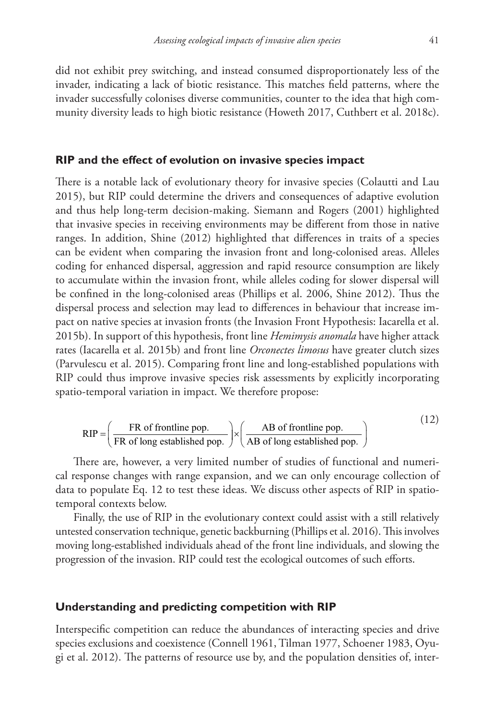did not exhibit prey switching, and instead consumed disproportionately less of the invader, indicating a lack of biotic resistance. This matches field patterns, where the invader successfully colonises diverse communities, counter to the idea that high community diversity leads to high biotic resistance (Howeth 2017, Cuthbert et al. 2018c).

#### **RIP and the effect of evolution on invasive species impact**

There is a notable lack of evolutionary theory for invasive species (Colautti and Lau 2015), but RIP could determine the drivers and consequences of adaptive evolution and thus help long-term decision-making. Siemann and Rogers (2001) highlighted that invasive species in receiving environments may be different from those in native ranges. In addition, Shine (2012) highlighted that differences in traits of a species can be evident when comparing the invasion front and long-colonised areas. Alleles coding for enhanced dispersal, aggression and rapid resource consumption are likely to accumulate within the invasion front, while alleles coding for slower dispersal will be confined in the long-colonised areas (Phillips et al. 2006, Shine 2012). Thus the dispersal process and selection may lead to differences in behaviour that increase impact on native species at invasion fronts (the Invasion Front Hypothesis: Iacarella et al. 2015b). In support of this hypothesis, front line *Hemimysis anomala* have higher attack rates (Iacarella et al. 2015b) and front line *Orconectes limosus* have greater clutch sizes (Parvulescu et al. 2015). Comparing front line and long-established populations with RIP could thus improve invasive species risk assessments by explicitly incorporating spatio-temporal variation in impact. We therefore propose:

$$
RIP = \left(\frac{FR \text{ of frontline pop.}}{FR \text{ of long established pop.}}\right) \times \left(\frac{AB \text{ of frontline pop.}}{AB \text{ of long established pop.}}\right)
$$
 (12)

There are, however, a very limited number of studies of functional and numerical response changes with range expansion, and we can only encourage collection of data to populate Eq. 12 to test these ideas. We discuss other aspects of RIP in spatiotemporal contexts below.

Finally, the use of RIP in the evolutionary context could assist with a still relatively untested conservation technique, genetic backburning (Phillips et al. 2016). This involves moving long-established individuals ahead of the front line individuals, and slowing the progression of the invasion. RIP could test the ecological outcomes of such efforts.

## **Understanding and predicting competition with RIP**

Interspecific competition can reduce the abundances of interacting species and drive species exclusions and coexistence (Connell 1961, Tilman 1977, Schoener 1983, Oyugi et al. 2012). The patterns of resource use by, and the population densities of, inter-

 $(12)$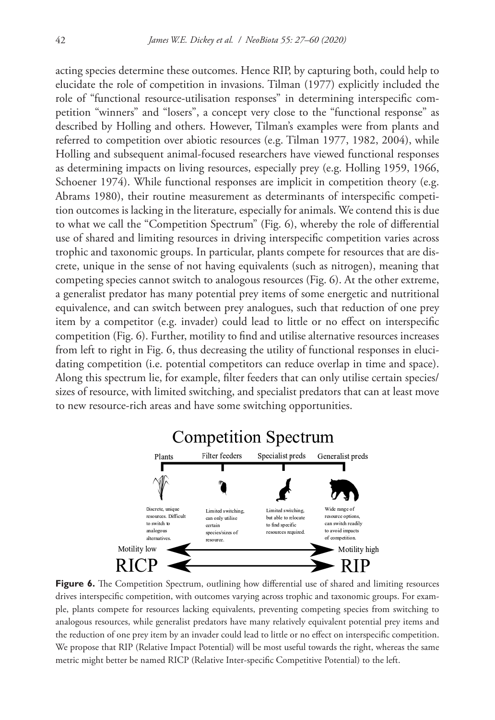acting species determine these outcomes. Hence RIP, by capturing both, could help to elucidate the role of competition in invasions. Tilman (1977) explicitly included the role of "functional resource-utilisation responses" in determining interspecific competition "winners" and "losers", a concept very close to the "functional response" as described by Holling and others. However, Tilman's examples were from plants and referred to competition over abiotic resources (e.g. Tilman 1977, 1982, 2004), while Holling and subsequent animal-focused researchers have viewed functional responses as determining impacts on living resources, especially prey (e.g. Holling 1959, 1966, Schoener 1974). While functional responses are implicit in competition theory (e.g. Abrams 1980), their routine measurement as determinants of interspecific competition outcomes is lacking in the literature, especially for animals. We contend this is due to what we call the "Competition Spectrum" (Fig. 6), whereby the role of differential use of shared and limiting resources in driving interspecific competition varies across trophic and taxonomic groups. In particular, plants compete for resources that are discrete, unique in the sense of not having equivalents (such as nitrogen), meaning that competing species cannot switch to analogous resources (Fig. 6). At the other extreme, a generalist predator has many potential prey items of some energetic and nutritional equivalence, and can switch between prey analogues, such that reduction of one prey item by a competitor (e.g. invader) could lead to little or no effect on interspecific competition (Fig. 6). Further, motility to find and utilise alternative resources increases from left to right in Fig. 6, thus decreasing the utility of functional responses in elucidating competition (i.e. potential competitors can reduce overlap in time and space). Along this spectrum lie, for example, filter feeders that can only utilise certain species/ sizes of resource, with limited switching, and specialist predators that can at least move to new resource-rich areas and have some switching opportunities.

![](_page_15_Figure_2.jpeg)

**Figure 6.** The Competition Spectrum, outlining how differential use of shared and limiting resources drives interspecific competition, with outcomes varying across trophic and taxonomic groups. For example, plants compete for resources lacking equivalents, preventing competing species from switching to analogous resources, while generalist predators have many relatively equivalent potential prey items and the reduction of one prey item by an invader could lead to little or no effect on interspecific competition. We propose that RIP (Relative Impact Potential) will be most useful towards the right, whereas the same metric might better be named RICP (Relative Inter-specific Competitive Potential) to the left.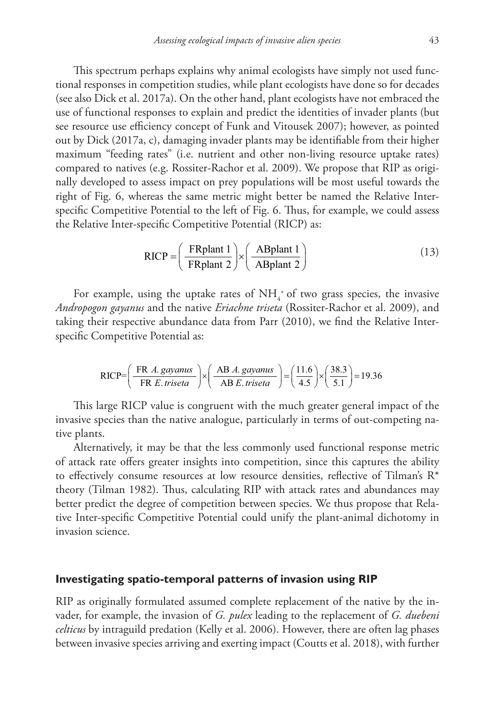This spectrum perhaps explains why animal ecologists have simply not used functional responses in competition studies, while plant ecologists have done so for decades (see also Dick et al. 2017a). On the other hand, plant ecologists have not embraced the use of functional responses to explain and predict the identities of invader plants (but see resource use efficiency concept of Funk and Vitousek 2007); however, as pointed out by Dick (2017a, c), damaging invader plants may be identifiable from their higher maximum "feeding rates" (i.e. nutrient and other non-living resource uptake rates) compared to natives (e.g. Rossiter-Rachor et al. 2009). We propose that RIP as originally developed to assess impact on prey populations will be most useful towards the right of Fig. 6, whereas the same metric might better be named the Relative Interspecific Competitive Potential to the left of Fig. 6. Thus, for example, we could assess the Relative Inter-specific Competitive Potential (RICP) as:

$$
RICP = \left(\frac{FRplant 1}{FRplant 2}\right) \times \left(\frac{ABplant 1}{ABplant 2}\right)
$$
 (13)

For example, using the uptake rates of  $NH<sub>4</sub>^+$  of two grass species, the invasive *Andropogon gayanus* and the native *Eriachne triseta* (Rossiter-Rachor et al. 2009), and taking their respective abundance data from Parr (2010), we find the Relative Interspecific Competitive Potential as:

$$
RICP = \left(\frac{FR \ A. \ gayanus}{FR \ E. \ triseta}\right) \times \left(\frac{AB \ A. \ gayanus}{AB \ E. \ triseta}\right) = \left(\frac{11.6}{4.5}\right) \times \left(\frac{38.3}{5.1}\right) = 19.36
$$

This large RICP value is congruent with the much greater general impact of the invasive species than the native analogue, particularly in terms of out-competing native plants.

Alternatively, it may be that the less commonly used functional response metric of attack rate offers greater insights into competition, since this captures the ability to effectively consume resources at low resource densities, reflective of Tilman's  $R^*$ theory (Tilman 1982). Thus, calculating RIP with attack rates and abundances may better predict the degree of competition between species. We thus propose that Relative Inter-specific Competitive Potential could unify the plant-animal dichotomy in invasion science.

### **Investigating spatio-temporal patterns of invasion using RIP**

RIP as originally formulated assumed complete replacement of the native by the invader, for example, the invasion of *G. pulex* leading to the replacement of *G. duebeni celticus* by intraguild predation (Kelly et al. 2006). However, there are often lag phases between invasive species arriving and exerting impact (Coutts et al. 2018), with further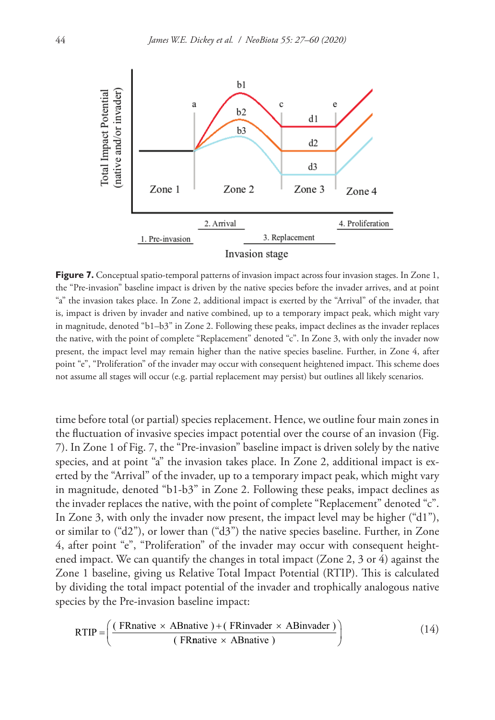![](_page_17_Figure_1.jpeg)

**Figure 7.** Conceptual spatio-temporal patterns of invasion impact across four invasion stages. In Zone 1, the "Pre-invasion" baseline impact is driven by the native species before the invader arrives, and at point "a" the invasion takes place. In Zone 2, additional impact is exerted by the "Arrival" of the invader, that is, impact is driven by invader and native combined, up to a temporary impact peak, which might vary in magnitude, denoted "b1–b3" in Zone 2. Following these peaks, impact declines as the invader replaces the native, with the point of complete "Replacement" denoted "c". In Zone 3, with only the invader now present, the impact level may remain higher than the native species baseline. Further, in Zone 4, after point "e", "Proliferation" of the invader may occur with consequent heightened impact. This scheme does not assume all stages will occur (e.g. partial replacement may persist) but outlines all likely scenarios.

time before total (or partial) species replacement. Hence, we outline four main zones in the fluctuation of invasive species impact potential over the course of an invasion (Fig. 7). In Zone 1 of Fig. 7, the "Pre-invasion" baseline impact is driven solely by the native species, and at point "a" the invasion takes place. In Zone 2, additional impact is exerted by the "Arrival" of the invader, up to a temporary impact peak, which might vary in magnitude, denoted "b1-b3" in Zone 2. Following these peaks, impact declines as the invader replaces the native, with the point of complete "Replacement" denoted "c". In Zone 3, with only the invader now present, the impact level may be higher ("d1"), or similar to  $("d2")$ , or lower than  $("d3")$  the native species baseline. Further, in Zone 4, after point "e", "Proliferation" of the invader may occur with consequent heightened impact. We can quantify the changes in total impact (Zone 2, 3 or 4) against the Zone 1 baseline, giving us Relative Total Impact Potential (RTIP). This is calculated by dividing the total impact potential of the invader and trophically analogous native species by the Pre-invasion baseline impact:

$$
RTIP = \left(\frac{(FRnative \times ABnative) + (FRinvader \times ABinvader)}{(FRnative \times ABnative)}\right)
$$
 (14)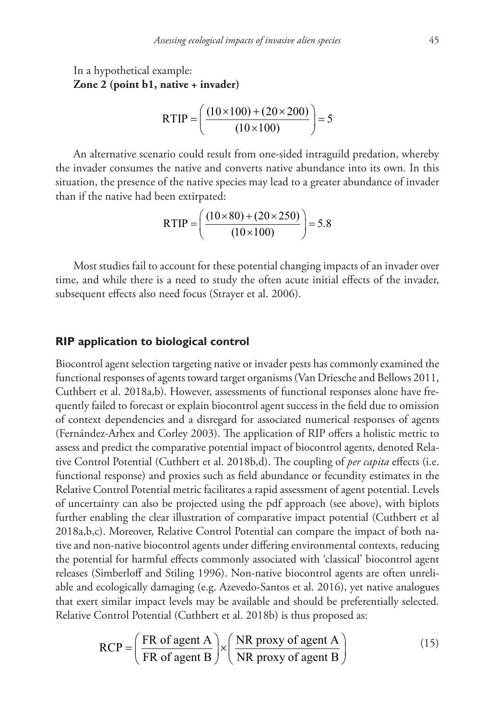In a hypothetical example: **Zone 2 (point b1, native + invader)**

RTIP = 
$$
\left(\frac{(10 \times 100) + (20 \times 200)}{(10 \times 100)}\right) = 5
$$

An alternative scenario could result from one-sided intraguild predation, whereby the invader consumes the native and converts native abundance into its own. In this situation, the presence of the native species may lead to a greater abundance of invader than if the native had been extirpated:

$$
RTIP = \left(\frac{(10 \times 80) + (20 \times 250)}{(10 \times 100)}\right) = 5.8
$$

Most studies fail to account for these potential changing impacts of an invader over time, and while there is a need to study the often acute initial effects of the invader, subsequent effects also need focus (Strayer et al. 2006).

## **RIP application to biological control**

Biocontrol agent selection targeting native or invader pests has commonly examined the functional responses of agents toward target organisms (Van Driesche and Bellows 2011, Cuthbert et al. 2018a,b). However, assessments of functional responses alone have frequently failed to forecast or explain biocontrol agent success in the field due to omission of context dependencies and a disregard for associated numerical responses of agents (Fernández-Arhex and Corley 2003). The application of RIP offers a holistic metric to assess and predict the comparative potential impact of biocontrol agents, denoted Relative Control Potential (Cuthbert et al. 2018b,d). The coupling of *per capita* effects (i.e. functional response) and proxies such as field abundance or fecundity estimates in the Relative Control Potential metric facilitates a rapid assessment of agent potential. Levels of uncertainty can also be projected using the pdf approach (see above), with biplots further enabling the clear illustration of comparative impact potential (Cuthbert et al 2018a,b,c). Moreover, Relative Control Potential can compare the impact of both native and non-native biocontrol agents under differing environmental contexts, reducing the potential for harmful effects commonly associated with 'classical' biocontrol agent releases (Simberloff and Stiling 1996). Non-native biocontrol agents are often unreliable and ecologically damaging (e.g. Azevedo-Santos et al. 2016), yet native analogues that exert similar impact levels may be available and should be preferentially selected. Relative Control Potential (Cuthbert et al. 2018b) is thus proposed as:

$$
RCP = \left(\frac{FR \text{ of agent A}}{FR \text{ of agent B}}\right) \times \left(\frac{NR \text{ proxy of agent A}}{NR \text{ proxy of agent B}}\right) \tag{15}
$$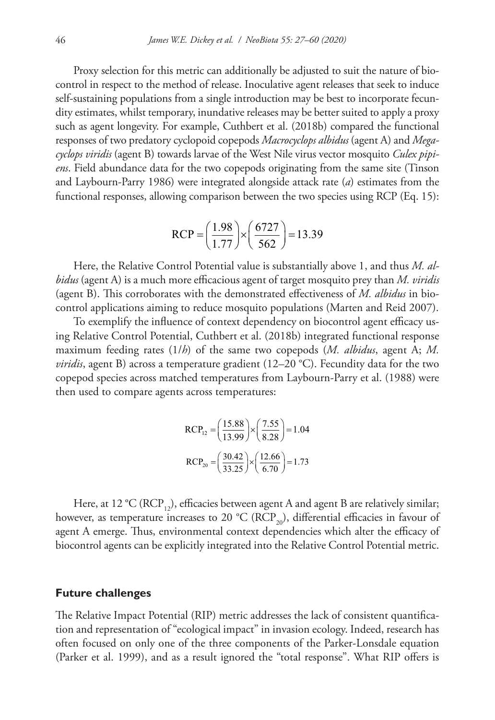Proxy selection for this metric can additionally be adjusted to suit the nature of biocontrol in respect to the method of release. Inoculative agent releases that seek to induce self-sustaining populations from a single introduction may be best to incorporate fecundity estimates, whilst temporary, inundative releases may be better suited to apply a proxy such as agent longevity. For example, Cuthbert et al. (2018b) compared the functional responses of two predatory cyclopoid copepods *Macrocyclops albidus* (agent A) and *Megacyclops viridis* (agent B) towards larvae of the West Nile virus vector mosquito *Culex pipiens*. Field abundance data for the two copepods originating from the same site (Tinson and Laybourn-Parry 1986) were integrated alongside attack rate (*a*) estimates from the functional responses, allowing comparison between the two species using RCP (Eq. 15):

$$
RCP = \left(\frac{1.98}{1.77}\right) \times \left(\frac{6727}{562}\right) = 13.39
$$

Here, the Relative Control Potential value is substantially above 1, and thus *M. albidus* (agent A) is a much more efficacious agent of target mosquito prey than *M. viridis* (agent B). This corroborates with the demonstrated effectiveness of *M. albidus* in biocontrol applications aiming to reduce mosquito populations (Marten and Reid 2007).

To exemplify the influence of context dependency on biocontrol agent efficacy using Relative Control Potential, Cuthbert et al. (2018b) integrated functional response maximum feeding rates (1/*h*) of the same two copepods (*M. albidus*, agent A; *M. viridis*, agent B) across a temperature gradient (12–20 °C). Fecundity data for the two copepod species across matched temperatures from Laybourn-Parry et al. (1988) were then used to compare agents across temperatures:

$$
RCP_{12} = \left(\frac{15.88}{13.99}\right) \times \left(\frac{7.55}{8.28}\right) = 1.04
$$

$$
RCP_{20} = \left(\frac{30.42}{33.25}\right) \times \left(\frac{12.66}{6.70}\right) = 1.73
$$

Here, at 12 °C (RCP<sub>12</sub>), efficacies between agent A and agent B are relatively similar; however, as temperature increases to 20 °C (RCP<sub>20</sub>), differential efficacies in favour of agent A emerge. Thus, environmental context dependencies which alter the efficacy of biocontrol agents can be explicitly integrated into the Relative Control Potential metric.

## **Future challenges**

The Relative Impact Potential (RIP) metric addresses the lack of consistent quantification and representation of "ecological impact" in invasion ecology. Indeed, research has often focused on only one of the three components of the Parker-Lonsdale equation (Parker et al. 1999), and as a result ignored the "total response". What RIP offers is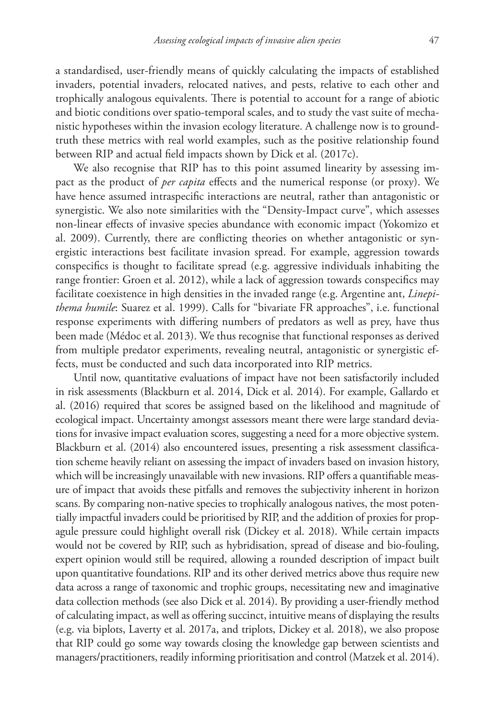a standardised, user-friendly means of quickly calculating the impacts of established invaders, potential invaders, relocated natives, and pests, relative to each other and trophically analogous equivalents. There is potential to account for a range of abiotic and biotic conditions over spatio-temporal scales, and to study the vast suite of mechanistic hypotheses within the invasion ecology literature. A challenge now is to groundtruth these metrics with real world examples, such as the positive relationship found between RIP and actual field impacts shown by Dick et al. (2017c).

We also recognise that RIP has to this point assumed linearity by assessing impact as the product of *per capita* effects and the numerical response (or proxy). We have hence assumed intraspecific interactions are neutral, rather than antagonistic or synergistic. We also note similarities with the "Density-Impact curve", which assesses non-linear effects of invasive species abundance with economic impact (Yokomizo et al. 2009). Currently, there are conflicting theories on whether antagonistic or synergistic interactions best facilitate invasion spread. For example, aggression towards conspecifics is thought to facilitate spread (e.g. aggressive individuals inhabiting the range frontier: Groen et al. 2012), while a lack of aggression towards conspecifics may facilitate coexistence in high densities in the invaded range (e.g. Argentine ant, *Linepithema humile*: Suarez et al. 1999). Calls for "bivariate FR approaches", i.e. functional response experiments with differing numbers of predators as well as prey, have thus been made (Médoc et al. 2013). We thus recognise that functional responses as derived from multiple predator experiments, revealing neutral, antagonistic or synergistic effects, must be conducted and such data incorporated into RIP metrics.

Until now, quantitative evaluations of impact have not been satisfactorily included in risk assessments (Blackburn et al. 2014, Dick et al. 2014). For example, Gallardo et al. (2016) required that scores be assigned based on the likelihood and magnitude of ecological impact. Uncertainty amongst assessors meant there were large standard deviations for invasive impact evaluation scores, suggesting a need for a more objective system. Blackburn et al. (2014) also encountered issues, presenting a risk assessment classification scheme heavily reliant on assessing the impact of invaders based on invasion history, which will be increasingly unavailable with new invasions. RIP offers a quantifiable measure of impact that avoids these pitfalls and removes the subjectivity inherent in horizon scans. By comparing non-native species to trophically analogous natives, the most potentially impactful invaders could be prioritised by RIP, and the addition of proxies for propagule pressure could highlight overall risk (Dickey et al. 2018). While certain impacts would not be covered by RIP, such as hybridisation, spread of disease and bio-fouling, expert opinion would still be required, allowing a rounded description of impact built upon quantitative foundations. RIP and its other derived metrics above thus require new data across a range of taxonomic and trophic groups, necessitating new and imaginative data collection methods (see also Dick et al. 2014). By providing a user-friendly method of calculating impact, as well as offering succinct, intuitive means of displaying the results (e.g. via biplots, Laverty et al. 2017a, and triplots, Dickey et al. 2018), we also propose that RIP could go some way towards closing the knowledge gap between scientists and managers/practitioners, readily informing prioritisation and control (Matzek et al. 2014).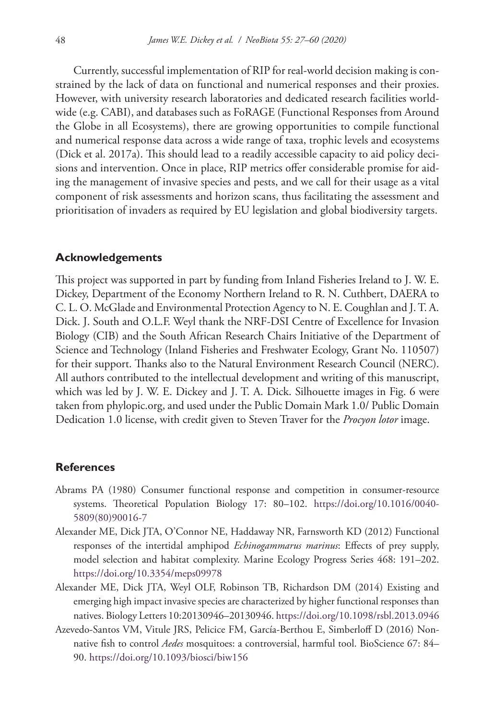Currently, successful implementation of RIP for real-world decision making is constrained by the lack of data on functional and numerical responses and their proxies. However, with university research laboratories and dedicated research facilities worldwide (e.g. CABI), and databases such as FoRAGE (Functional Responses from Around the Globe in all Ecosystems), there are growing opportunities to compile functional and numerical response data across a wide range of taxa, trophic levels and ecosystems (Dick et al. 2017a). This should lead to a readily accessible capacity to aid policy decisions and intervention. Once in place, RIP metrics offer considerable promise for aiding the management of invasive species and pests, and we call for their usage as a vital component of risk assessments and horizon scans, thus facilitating the assessment and prioritisation of invaders as required by EU legislation and global biodiversity targets.

### **Acknowledgements**

This project was supported in part by funding from Inland Fisheries Ireland to J. W. E. Dickey, Department of the Economy Northern Ireland to R. N. Cuthbert, DAERA to C. L. O. McGlade and Environmental Protection Agency to N. E. Coughlan and J. T. A. Dick. J. South and O.L.F. Weyl thank the NRF-DSI Centre of Excellence for Invasion Biology (CIB) and the South African Research Chairs Initiative of the Department of Science and Technology (Inland Fisheries and Freshwater Ecology, Grant No. 110507) for their support. Thanks also to the Natural Environment Research Council (NERC). All authors contributed to the intellectual development and writing of this manuscript, which was led by J. W. E. Dickey and J. T. A. Dick. Silhouette images in Fig. 6 were taken from phylopic.org, and used under the Public Domain Mark 1.0/ Public Domain Dedication 1.0 license, with credit given to Steven Traver for the *Procyon lotor* image.

## **References**

- Abrams PA (1980) Consumer functional response and competition in consumer-resource systems. Theoretical Population Biology 17: 80–102. [https://doi.org/10.1016/0040-](https://doi.org/10.1016/0040-5809(80)90016-7) [5809\(80\)90016-7](https://doi.org/10.1016/0040-5809(80)90016-7)
- Alexander ME, Dick JTA, O'Connor NE, Haddaway NR, Farnsworth KD (2012) Functional responses of the intertidal amphipod *Echinogammarus marinus*: Effects of prey supply, model selection and habitat complexity. Marine Ecology Progress Series 468: 191–202. <https://doi.org/10.3354/meps09978>
- Alexander ME, Dick JTA, Weyl OLF, Robinson TB, Richardson DM (2014) Existing and emerging high impact invasive species are characterized by higher functional responses than natives. Biology Letters 10:20130946–20130946.<https://doi.org/10.1098/rsbl.2013.0946>
- Azevedo-Santos VM, Vitule JRS, Pelicice FM, García-Berthou E, Simberloff D (2016) Nonnative fish to control *Aedes* mosquitoes: a controversial, harmful tool. BioScience 67: 84– 90. <https://doi.org/10.1093/biosci/biw156>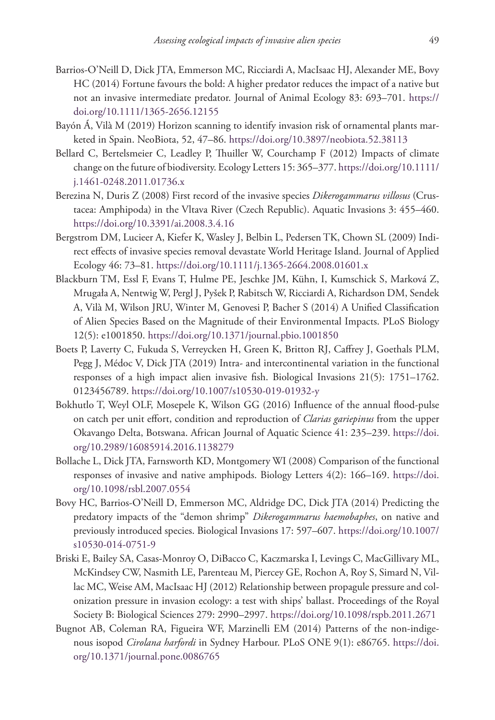- Barrios-O'Neill D, Dick JTA, Emmerson MC, Ricciardi A, MacIsaac HJ, Alexander ME, Bovy HC (2014) Fortune favours the bold: A higher predator reduces the impact of a native but not an invasive intermediate predator. Journal of Animal Ecology 83: 693–701. [https://](https://doi.org/10.1111/1365-2656.12155) [doi.org/10.1111/1365-2656.12155](https://doi.org/10.1111/1365-2656.12155)
- Bayón Á, Vilà M (2019) Horizon scanning to identify invasion risk of ornamental plants marketed in Spain. NeoBiota, 52, 47–86. <https://doi.org/10.3897/neobiota.52.38113>
- Bellard C, Bertelsmeier C, Leadley P, Thuiller W, Courchamp F (2012) Impacts of climate change on the future of biodiversity. Ecology Letters 15: 365–377. [https://doi.org/10.1111/](https://doi.org/10.1111/j.1461-0248.2011.01736.x) [j.1461-0248.2011.01736.x](https://doi.org/10.1111/j.1461-0248.2011.01736.x)
- Berezina N, Duris Z (2008) First record of the invasive species *Dikerogammarus villosus* (Crustacea: Amphipoda) in the Vltava River (Czech Republic). Aquatic Invasions 3: 455–460. <https://doi.org/10.3391/ai.2008.3.4.16>
- Bergstrom DM, Lucieer A, Kiefer K, Wasley J, Belbin L, Pedersen TK, Chown SL (2009) Indirect effects of invasive species removal devastate World Heritage Island. Journal of Applied Ecology 46: 73–81. <https://doi.org/10.1111/j.1365-2664.2008.01601.x>
- Blackburn TM, Essl F, Evans T, Hulme PE, Jeschke JM, Kühn, I, Kumschick S, Marková Z, Mrugała A, Nentwig W, Pergl J, Pyšek P, Rabitsch W, Ricciardi A, Richardson DM, Sendek A, Vilà M, Wilson JRU, Winter M, Genovesi P, Bacher S (2014) A Unified Classification of Alien Species Based on the Magnitude of their Environmental Impacts. PLoS Biology 12(5): e1001850. <https://doi.org/10.1371/journal.pbio.1001850>
- Boets P, Laverty C, Fukuda S, Verreycken H, Green K, Britton RJ, Caffrey J, Goethals PLM, Pegg J, Médoc V, Dick JTA (2019) Intra- and intercontinental variation in the functional responses of a high impact alien invasive fish. Biological Invasions 21(5): 1751–1762. 0123456789.<https://doi.org/10.1007/s10530-019-01932-y>
- Bokhutlo T, Weyl OLF, Mosepele K, Wilson GG (2016) Influence of the annual flood-pulse on catch per unit effort, condition and reproduction of *Clarias gariepinus* from the upper Okavango Delta, Botswana. African Journal of Aquatic Science 41: 235–239. [https://doi.](https://doi.org/10.2989/16085914.2016.1138279) [org/10.2989/16085914.2016.1138279](https://doi.org/10.2989/16085914.2016.1138279)
- Bollache L, Dick JTA, Farnsworth KD, Montgomery WI (2008) Comparison of the functional responses of invasive and native amphipods. Biology Letters 4(2): 166–169. [https://doi.](https://doi.org/10.1098/rsbl.2007.0554) [org/10.1098/rsbl.2007.0554](https://doi.org/10.1098/rsbl.2007.0554)
- Bovy HC, Barrios-O'Neill D, Emmerson MC, Aldridge DC, Dick JTA (2014) Predicting the predatory impacts of the "demon shrimp" *Dikerogammarus haemobaphes*, on native and previously introduced species. Biological Invasions 17: 597–607. [https://doi.org/10.1007/](https://doi.org/10.1007/s10530-014-0751-9) [s10530-014-0751-9](https://doi.org/10.1007/s10530-014-0751-9)
- Briski E, Bailey SA, Casas-Monroy O, DiBacco C, Kaczmarska I, Levings C, MacGillivary ML, McKindsey CW, Nasmith LE, Parenteau M, Piercey GE, Rochon A, Roy S, Simard N, Villac MC, Weise AM, MacIsaac HJ (2012) Relationship between propagule pressure and colonization pressure in invasion ecology: a test with ships' ballast. Proceedings of the Royal Society B: Biological Sciences 279: 2990–2997. <https://doi.org/10.1098/rspb.2011.2671>
- Bugnot AB, Coleman RA, Figueira WF, Marzinelli EM (2014) Patterns of the non-indigenous isopod *Cirolana harfordi* in Sydney Harbour. PLoS ONE 9(1): e86765. [https://doi.](https://doi.org/10.1371/journal.pone.0086765) [org/10.1371/journal.pone.0086765](https://doi.org/10.1371/journal.pone.0086765)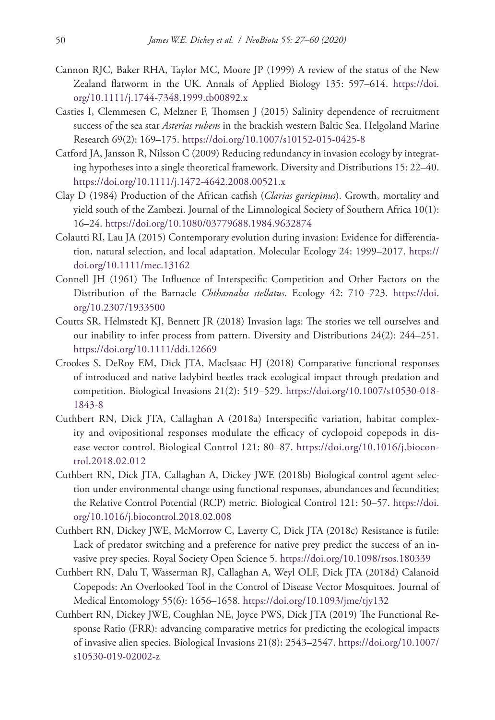- Cannon RJC, Baker RHA, Taylor MC, Moore JP (1999) A review of the status of the New Zealand flatworm in the UK. Annals of Applied Biology 135: 597–614. [https://doi.](https://doi.org/10.1111/j.1744-7348.1999.tb00892.x) [org/10.1111/j.1744-7348.1999.tb00892.x](https://doi.org/10.1111/j.1744-7348.1999.tb00892.x)
- Casties I, Clemmesen C, Melzner F, Thomsen J (2015) Salinity dependence of recruitment success of the sea star *Asterias rubens* in the brackish western Baltic Sea. Helgoland Marine Research 69(2): 169–175.<https://doi.org/10.1007/s10152-015-0425-8>
- Catford JA, Jansson R, Nilsson C (2009) Reducing redundancy in invasion ecology by integrating hypotheses into a single theoretical framework. Diversity and Distributions 15: 22–40. <https://doi.org/10.1111/j.1472-4642.2008.00521.x>
- Clay D (1984) Production of the African catfish (*Clarias gariepinus*). Growth, mortality and yield south of the Zambezi. Journal of the Limnological Society of Southern Africa 10(1): 16–24.<https://doi.org/10.1080/03779688.1984.9632874>
- Colautti RI, Lau JA (2015) Contemporary evolution during invasion: Evidence for differentiation, natural selection, and local adaptation. Molecular Ecology 24: 1999–2017. [https://](https://doi.org/10.1111/mec.13162) [doi.org/10.1111/mec.13162](https://doi.org/10.1111/mec.13162)
- Connell JH (1961) The Influence of Interspecific Competition and Other Factors on the Distribution of the Barnacle *Chthamalus stellatus*. Ecology 42: 710–723. [https://doi.](https://doi.org/10.2307/1933500) [org/10.2307/1933500](https://doi.org/10.2307/1933500)
- Coutts SR, Helmstedt KJ, Bennett JR (2018) Invasion lags: The stories we tell ourselves and our inability to infer process from pattern. Diversity and Distributions 24(2): 244–251. <https://doi.org/10.1111/ddi.12669>
- Crookes S, DeRoy EM, Dick JTA, MacIsaac HJ (2018) Comparative functional responses of introduced and native ladybird beetles track ecological impact through predation and competition. Biological Invasions 21(2): 519–529. [https://doi.org/10.1007/s10530-018-](https://doi.org/10.1007/s10530-018-1843-8) [1843-8](https://doi.org/10.1007/s10530-018-1843-8)
- Cuthbert RN, Dick JTA, Callaghan A (2018a) Interspecific variation, habitat complexity and ovipositional responses modulate the efficacy of cyclopoid copepods in disease vector control. Biological Control 121: 80–87. [https://doi.org/10.1016/j.biocon](https://doi.org/10.1016/j.biocontrol.2018.02.012)[trol.2018.02.012](https://doi.org/10.1016/j.biocontrol.2018.02.012)
- Cuthbert RN, Dick JTA, Callaghan A, Dickey JWE (2018b) Biological control agent selection under environmental change using functional responses, abundances and fecundities; the Relative Control Potential (RCP) metric. Biological Control 121: 50–57. [https://doi.](https://doi.org/10.1016/j.biocontrol.2018.02.008) [org/10.1016/j.biocontrol.2018.02.008](https://doi.org/10.1016/j.biocontrol.2018.02.008)
- Cuthbert RN, Dickey JWE, McMorrow C, Laverty C, Dick JTA (2018c) Resistance is futile: Lack of predator switching and a preference for native prey predict the success of an invasive prey species. Royal Society Open Science 5. <https://doi.org/10.1098/rsos.180339>
- Cuthbert RN, Dalu T, Wasserman RJ, Callaghan A, Weyl OLF, Dick JTA (2018d) Calanoid Copepods: An Overlooked Tool in the Control of Disease Vector Mosquitoes. Journal of Medical Entomology 55(6): 1656–1658. <https://doi.org/10.1093/jme/tjy132>
- Cuthbert RN, Dickey JWE, Coughlan NE, Joyce PWS, Dick JTA (2019) The Functional Response Ratio (FRR): advancing comparative metrics for predicting the ecological impacts of invasive alien species. Biological Invasions 21(8): 2543–2547. [https://doi.org/10.1007/](https://doi.org/10.1007/s10530-019-02002-z) [s10530-019-02002-z](https://doi.org/10.1007/s10530-019-02002-z)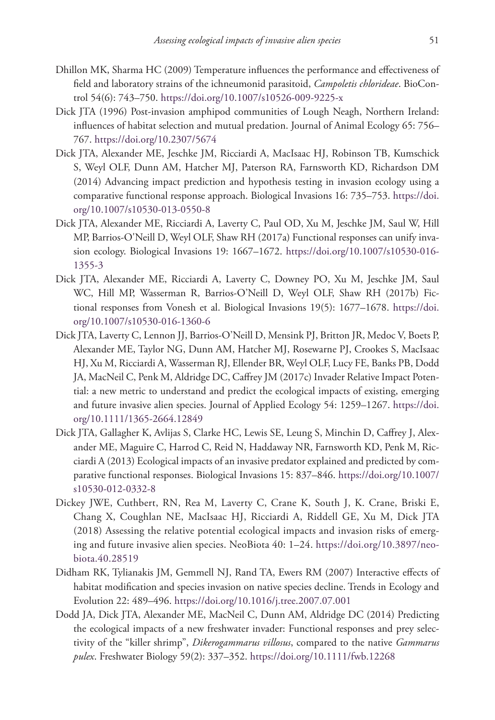- Dhillon MK, Sharma HC (2009) Temperature influences the performance and effectiveness of field and laboratory strains of the ichneumonid parasitoid, *Campoletis chlorideae*. BioControl 54(6): 743–750.<https://doi.org/10.1007/s10526-009-9225-x>
- Dick JTA (1996) Post-invasion amphipod communities of Lough Neagh, Northern Ireland: influences of habitat selection and mutual predation. Journal of Animal Ecology 65: 756– 767.<https://doi.org/10.2307/5674>
- Dick JTA, Alexander ME, Jeschke JM, Ricciardi A, MacIsaac HJ, Robinson TB, Kumschick S, Weyl OLF, Dunn AM, Hatcher MJ, Paterson RA, Farnsworth KD, Richardson DM (2014) Advancing impact prediction and hypothesis testing in invasion ecology using a comparative functional response approach. Biological Invasions 16: 735–753. [https://doi.](https://doi.org/10.1007/s10530-013-0550-8) [org/10.1007/s10530-013-0550-8](https://doi.org/10.1007/s10530-013-0550-8)
- Dick JTA, Alexander ME, Ricciardi A, Laverty C, Paul OD, Xu M, Jeschke JM, Saul W, Hill MP, Barrios-O'Neill D, Weyl OLF, Shaw RH (2017a) Functional responses can unify invasion ecology. Biological Invasions 19: 1667–1672. [https://doi.org/10.1007/s10530-016-](https://doi.org/10.1007/s10530-016-1355-3) [1355-3](https://doi.org/10.1007/s10530-016-1355-3)
- Dick JTA, Alexander ME, Ricciardi A, Laverty C, Downey PO, Xu M, Jeschke JM, Saul WC, Hill MP, Wasserman R, Barrios-O'Neill D, Weyl OLF, Shaw RH (2017b) Fictional responses from Vonesh et al. Biological Invasions 19(5): 1677–1678. [https://doi.](https://doi.org/10.1007/s10530-016-1360-6) [org/10.1007/s10530-016-1360-6](https://doi.org/10.1007/s10530-016-1360-6)
- Dick JTA, Laverty C, Lennon JJ, Barrios-O'Neill D, Mensink PJ, Britton JR, Medoc V, Boets P, Alexander ME, Taylor NG, Dunn AM, Hatcher MJ, Rosewarne PJ, Crookes S, MacIsaac HJ, Xu M, Ricciardi A, Wasserman RJ, Ellender BR, Weyl OLF, Lucy FE, Banks PB, Dodd JA, MacNeil C, Penk M, Aldridge DC, Caffrey JM (2017c) Invader Relative Impact Potential: a new metric to understand and predict the ecological impacts of existing, emerging and future invasive alien species. Journal of Applied Ecology 54: 1259–1267. [https://doi.](https://doi.org/10.1111/1365-2664.12849) [org/10.1111/1365-2664.12849](https://doi.org/10.1111/1365-2664.12849)
- Dick JTA, Gallagher K, Avlijas S, Clarke HC, Lewis SE, Leung S, Minchin D, Caffrey J, Alexander ME, Maguire C, Harrod C, Reid N, Haddaway NR, Farnsworth KD, Penk M, Ricciardi A (2013) Ecological impacts of an invasive predator explained and predicted by comparative functional responses. Biological Invasions 15: 837–846. [https://doi.org/10.1007/](https://doi.org/10.1007/s10530-012-0332-8) [s10530-012-0332-8](https://doi.org/10.1007/s10530-012-0332-8)
- Dickey JWE, Cuthbert, RN, Rea M, Laverty C, Crane K, South J, K. Crane, Briski E, Chang X, Coughlan NE, MacIsaac HJ, Ricciardi A, Riddell GE, Xu M, Dick JTA (2018) Assessing the relative potential ecological impacts and invasion risks of emerging and future invasive alien species. NeoBiota 40: 1–24. [https://doi.org/10.3897/neo](https://doi.org/10.3897/neobiota.40.28519)[biota.40.28519](https://doi.org/10.3897/neobiota.40.28519)
- Didham RK, Tylianakis JM, Gemmell NJ, Rand TA, Ewers RM (2007) Interactive effects of habitat modification and species invasion on native species decline. Trends in Ecology and Evolution 22: 489–496. <https://doi.org/10.1016/j.tree.2007.07.001>
- Dodd JA, Dick JTA, Alexander ME, MacNeil C, Dunn AM, Aldridge DC (2014) Predicting the ecological impacts of a new freshwater invader: Functional responses and prey selectivity of the "killer shrimp", *Dikerogammarus villosus*, compared to the native *Gammarus pulex*. Freshwater Biology 59(2): 337–352. <https://doi.org/10.1111/fwb.12268>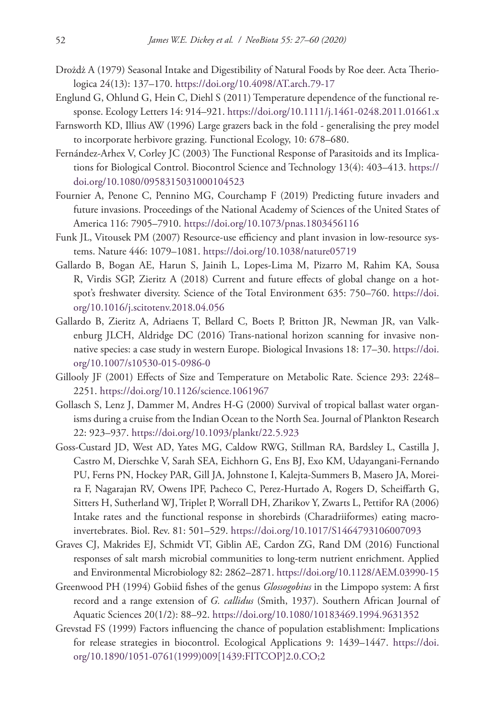- Drożdż A (1979) Seasonal Intake and Digestibility of Natural Foods by Roe deer. Acta Theriologica 24(13): 137–170. <https://doi.org/10.4098/AT.arch.79-17>
- Englund G, Ohlund G, Hein C, Diehl S (2011) Temperature dependence of the functional response. Ecology Letters 14: 914–921.<https://doi.org/10.1111/j.1461-0248.2011.01661.x>
- Farnsworth KD, Illius AW (1996) Large grazers back in the fold generalising the prey model to incorporate herbivore grazing. Functional Ecology, 10: 678–680.
- Fernández-Arhex V, Corley JC (2003) The Functional Response of Parasitoids and its Implications for Biological Control. Biocontrol Science and Technology 13(4): 403–413. [https://](https://doi.org/10.1080/0958315031000104523) [doi.org/10.1080/0958315031000104523](https://doi.org/10.1080/0958315031000104523)
- Fournier A, Penone C, Pennino MG, Courchamp F (2019) Predicting future invaders and future invasions. Proceedings of the National Academy of Sciences of the United States of America 116: 7905–7910. <https://doi.org/10.1073/pnas.1803456116>
- Funk JL, Vitousek PM (2007) Resource-use efficiency and plant invasion in low-resource systems. Nature 446: 1079–1081.<https://doi.org/10.1038/nature05719>
- Gallardo B, Bogan AE, Harun S, Jainih L, Lopes-Lima M, Pizarro M, Rahim KA, Sousa R, Virdis SGP, Zieritz A (2018) Current and future effects of global change on a hotspot's freshwater diversity. Science of the Total Environment 635: 750–760. [https://doi.](https://doi.org/10.1016/j.scitotenv.2018.04.056) [org/10.1016/j.scitotenv.2018.04.056](https://doi.org/10.1016/j.scitotenv.2018.04.056)
- Gallardo B, Zieritz A, Adriaens T, Bellard C, Boets P, Britton JR, Newman JR, van Valkenburg JLCH, Aldridge DC (2016) Trans-national horizon scanning for invasive nonnative species: a case study in western Europe. Biological Invasions 18: 17–30. [https://doi.](https://doi.org/10.1007/s10530-015-0986-0) [org/10.1007/s10530-015-0986-0](https://doi.org/10.1007/s10530-015-0986-0)
- Gillooly JF (2001) Effects of Size and Temperature on Metabolic Rate. Science 293: 2248– 2251.<https://doi.org/10.1126/science.1061967>
- Gollasch S, Lenz J, Dammer M, Andres H-G (2000) Survival of tropical ballast water organisms during a cruise from the Indian Ocean to the North Sea. Journal of Plankton Research 22: 923–937.<https://doi.org/10.1093/plankt/22.5.923>
- Goss-Custard JD, West AD, Yates MG, Caldow RWG, Stillman RA, Bardsley L, Castilla J, Castro M, Dierschke V, Sarah SEA, Eichhorn G, Ens BJ, Exo KM, Udayangani-Fernando PU, Ferns PN, Hockey PAR, Gill JA, Johnstone I, Kalejta-Summers B, Masero JA, Moreira F, Nagarajan RV, Owens IPF, Pacheco C, Perez-Hurtado A, Rogers D, Scheiffarth G, Sitters H, Sutherland WJ, Triplet P, Worrall DH, Zharikov Y, Zwarts L, Pettifor RA (2006) Intake rates and the functional response in shorebirds (Charadriiformes) eating macroinvertebrates. Biol. Rev. 81: 501–529.<https://doi.org/10.1017/S1464793106007093>
- Graves CJ, Makrides EJ, Schmidt VT, Giblin AE, Cardon ZG, Rand DM (2016) Functional responses of salt marsh microbial communities to long-term nutrient enrichment. Applied and Environmental Microbiology 82: 2862–2871. <https://doi.org/10.1128/AEM.03990-15>
- Greenwood PH (1994) Gobiid fishes of the genus *Glossogobius* in the Limpopo system: A first record and a range extension of *G. callidus* (Smith, 1937). Southern African Journal of Aquatic Sciences 20(1/2): 88–92. <https://doi.org/10.1080/10183469.1994.9631352>
- Grevstad FS (1999) Factors influencing the chance of population establishment: Implications for release strategies in biocontrol. Ecological Applications 9: 1439–1447. [https://doi.](https://doi.org/10.1890/1051-0761(1999)009%5B1439:FITCOP%5D2.0.CO;2) [org/10.1890/1051-0761\(1999\)009\[1439:FITCOP\]2.0.CO;2](https://doi.org/10.1890/1051-0761(1999)009%5B1439:FITCOP%5D2.0.CO;2)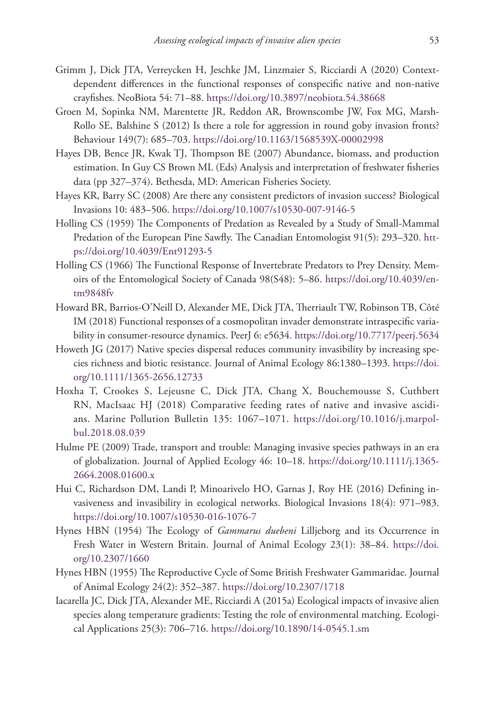- Grimm J, Dick JTA, Verreycken H, Jeschke JM, Linzmaier S, Ricciardi A (2020) Contextdependent differences in the functional responses of conspecific native and non-native crayfishes. NeoBiota 54: 71–88.<https://doi.org/10.3897/neobiota.54.38668>
- Groen M, Sopinka NM, Marentette JR, Reddon AR, Brownscombe JW, Fox MG, Marsh-Rollo SE, Balshine S (2012) Is there a role for aggression in round goby invasion fronts? Behaviour 149(7): 685–703. <https://doi.org/10.1163/1568539X-00002998>
- Hayes DB, Bence JR, Kwak TJ, Thompson BE (2007) Abundance, biomass, and production estimation. In Guy CS Brown ML (Eds) Analysis and interpretation of freshwater fisheries data (pp 327–374). Bethesda, MD: American Fisheries Society.
- Hayes KR, Barry SC (2008) Are there any consistent predictors of invasion success? Biological Invasions 10: 483–506. <https://doi.org/10.1007/s10530-007-9146-5>
- Holling CS (1959) The Components of Predation as Revealed by a Study of Small-Mammal Predation of the European Pine Sawfly. The Canadian Entomologist 91(5): 293–320. [htt](https://doi.org/10.4039/Ent91293-5)[ps://doi.org/10.4039/Ent91293-5](https://doi.org/10.4039/Ent91293-5)
- Holling CS (1966) The Functional Response of Invertebrate Predators to Prey Density. Memoirs of the Entomological Society of Canada 98(S48): 5–86. [https://doi.org/10.4039/en](https://doi.org/10.4039/entm9848fv)[tm9848fv](https://doi.org/10.4039/entm9848fv)
- Howard BR, Barrios-O'Neill D, Alexander ME, Dick JTA, Therriault TW, Robinson TB, Côté IM (2018) Functional responses of a cosmopolitan invader demonstrate intraspecific variability in consumer-resource dynamics. PeerJ 6: e5634. <https://doi.org/10.7717/peerj.5634>
- Howeth JG (2017) Native species dispersal reduces community invasibility by increasing species richness and biotic resistance. Journal of Animal Ecology 86:1380–1393. [https://doi.](https://doi.org/10.1111/1365-2656.12733) [org/10.1111/1365-2656.12733](https://doi.org/10.1111/1365-2656.12733)
- Hoxha T, Crookes S, Lejeusne C, Dick JTA, Chang X, Bouchemousse S, Cuthbert RN, MacIsaac HJ (2018) Comparative feeding rates of native and invasive ascidians. Marine Pollution Bulletin 135: 1067–1071. [https://doi.org/10.1016/j.marpol](https://doi.org/10.1016/j.marpolbul.2018.08.039)[bul.2018.08.039](https://doi.org/10.1016/j.marpolbul.2018.08.039)
- Hulme PE (2009) Trade, transport and trouble: Managing invasive species pathways in an era of globalization. Journal of Applied Ecology 46: 10–18. [https://doi.org/10.1111/j.1365-](https://doi.org/10.1111/j.1365-2664.2008.01600.x) [2664.2008.01600.x](https://doi.org/10.1111/j.1365-2664.2008.01600.x)
- Hui C, Richardson DM, Landi P, Minoarivelo HO, Garnas J, Roy HE (2016) Defining invasiveness and invasibility in ecological networks. Biological Invasions 18(4): 971–983. <https://doi.org/10.1007/s10530-016-1076-7>
- Hynes HBN (1954) The Ecology of *Gammarus duebeni* Lilljeborg and its Occurrence in Fresh Water in Western Britain. Journal of Animal Ecology 23(1): 38–84. [https://doi.](https://doi.org/10.2307/1660) [org/10.2307/1660](https://doi.org/10.2307/1660)
- Hynes HBN (1955) The Reproductive Cycle of Some British Freshwater Gammaridae. Journal of Animal Ecology 24(2): 352–387.<https://doi.org/10.2307/1718>
- Iacarella JC, Dick JTA, Alexander ME, Ricciardi A (2015a) Ecological impacts of invasive alien species along temperature gradients: Testing the role of environmental matching. Ecological Applications 25(3): 706–716. <https://doi.org/10.1890/14-0545.1.sm>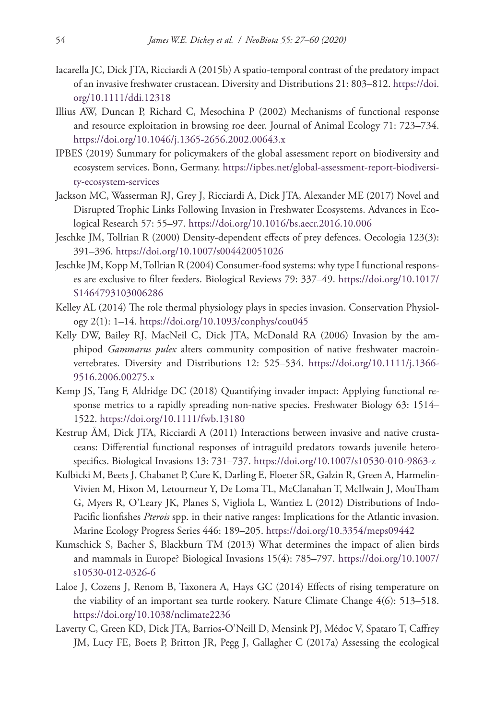- Iacarella JC, Dick JTA, Ricciardi A (2015b) A spatio-temporal contrast of the predatory impact of an invasive freshwater crustacean. Diversity and Distributions 21: 803–812. [https://doi.](https://doi.org/10.1111/ddi.12318) [org/10.1111/ddi.12318](https://doi.org/10.1111/ddi.12318)
- Illius AW, Duncan P, Richard C, Mesochina P (2002) Mechanisms of functional response and resource exploitation in browsing roe deer. Journal of Animal Ecology 71: 723–734. <https://doi.org/10.1046/j.1365-2656.2002.00643.x>
- IPBES (2019) Summary for policymakers of the global assessment report on biodiversity and ecosystem services. Bonn, Germany. [https://ipbes.net/global-assessment-report-biodiversi](https://ipbes.net/global-assessment-report-biodiversity-ecosystem-services)[ty-ecosystem-services](https://ipbes.net/global-assessment-report-biodiversity-ecosystem-services)
- Jackson MC, Wasserman RJ, Grey J, Ricciardi A, Dick JTA, Alexander ME (2017) Novel and Disrupted Trophic Links Following Invasion in Freshwater Ecosystems. Advances in Ecological Research 57: 55–97.<https://doi.org/10.1016/bs.aecr.2016.10.006>
- Jeschke JM, Tollrian R (2000) Density-dependent effects of prey defences. Oecologia 123(3): 391–396.<https://doi.org/10.1007/s004420051026>
- Jeschke JM, Kopp M, Tollrian R (2004) Consumer-food systems: why type I functional responses are exclusive to filter feeders. Biological Reviews 79: 337–49. [https://doi.org/10.1017/](https://doi.org/10.1017/S1464793103006286) [S1464793103006286](https://doi.org/10.1017/S1464793103006286)
- Kelley AL (2014) The role thermal physiology plays in species invasion. Conservation Physiology 2(1): 1–14.<https://doi.org/10.1093/conphys/cou045>
- Kelly DW, Bailey RJ, MacNeil C, Dick JTA, McDonald RA (2006) Invasion by the amphipod *Gammarus pulex* alters community composition of native freshwater macroinvertebrates. Diversity and Distributions 12: 525–534. [https://doi.org/10.1111/j.1366-](https://doi.org/10.1111/j.1366-9516.2006.00275.x) [9516.2006.00275.x](https://doi.org/10.1111/j.1366-9516.2006.00275.x)
- Kemp JS, Tang F, Aldridge DC (2018) Quantifying invader impact: Applying functional response metrics to a rapidly spreading non-native species. Freshwater Biology 63: 1514– 1522.<https://doi.org/10.1111/fwb.13180>
- Kestrup ÅM, Dick JTA, Ricciardi A (2011) Interactions between invasive and native crustaceans: Differential functional responses of intraguild predators towards juvenile heterospecifics. Biological Invasions 13: 731–737. <https://doi.org/10.1007/s10530-010-9863-z>
- Kulbicki M, Beets J, Chabanet P, Cure K, Darling E, Floeter SR, Galzin R, Green A, Harmelin-Vivien M, Hixon M, Letourneur Y, De Loma TL, McClanahan T, McIlwain J, MouTham G, Myers R, O'Leary JK, Planes S, Vigliola L, Wantiez L (2012) Distributions of Indo-Pacific lionfishes *Pterois* spp. in their native ranges: Implications for the Atlantic invasion. Marine Ecology Progress Series 446: 189–205. <https://doi.org/10.3354/meps09442>
- Kumschick S, Bacher S, Blackburn TM (2013) What determines the impact of alien birds and mammals in Europe? Biological Invasions 15(4): 785–797. [https://doi.org/10.1007/](https://doi.org/10.1007/s10530-012-0326-6) [s10530-012-0326-6](https://doi.org/10.1007/s10530-012-0326-6)
- Laloe J, Cozens J, Renom B, Taxonera A, Hays GC (2014) Effects of rising temperature on the viability of an important sea turtle rookery. Nature Climate Change 4(6): 513–518. <https://doi.org/10.1038/nclimate2236>
- Laverty C, Green KD, Dick JTA, Barrios-O'Neill D, Mensink PJ, Médoc V, Spataro T, Caffrey JM, Lucy FE, Boets P, Britton JR, Pegg J, Gallagher C (2017a) Assessing the ecological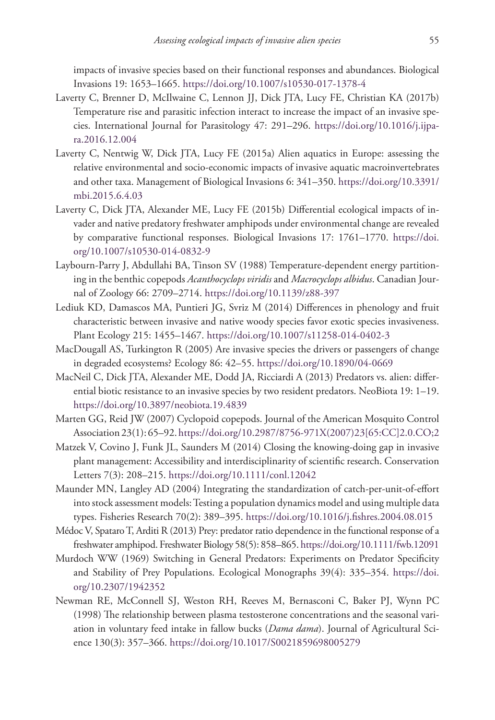impacts of invasive species based on their functional responses and abundances. Biological Invasions 19: 1653–1665. <https://doi.org/10.1007/s10530-017-1378-4>

- Laverty C, Brenner D, McIlwaine C, Lennon JJ, Dick JTA, Lucy FE, Christian KA (2017b) Temperature rise and parasitic infection interact to increase the impact of an invasive species. International Journal for Parasitology 47: 291–296. [https://doi.org/10.1016/j.ijpa](https://doi.org/10.1016/j.ijpara.2016.12.004)[ra.2016.12.004](https://doi.org/10.1016/j.ijpara.2016.12.004)
- Laverty C, Nentwig W, Dick JTA, Lucy FE (2015a) Alien aquatics in Europe: assessing the relative environmental and socio-economic impacts of invasive aquatic macroinvertebrates and other taxa. Management of Biological Invasions 6: 341–350. [https://doi.org/10.3391/](https://doi.org/10.3391/mbi.2015.6.4.03) [mbi.2015.6.4.03](https://doi.org/10.3391/mbi.2015.6.4.03)
- Laverty C, Dick JTA, Alexander ME, Lucy FE (2015b) Differential ecological impacts of invader and native predatory freshwater amphipods under environmental change are revealed by comparative functional responses. Biological Invasions 17: 1761–1770. [https://doi.](https://doi.org/10.1007/s10530-014-0832-9) [org/10.1007/s10530-014-0832-9](https://doi.org/10.1007/s10530-014-0832-9)
- Laybourn-Parry J, Abdullahi BA, Tinson SV (1988) Temperature-dependent energy partitioning in the benthic copepods *Acanthocyclops viridis* and *Macrocyclops albidus*. Canadian Journal of Zoology 66: 2709–2714. <https://doi.org/10.1139/z88-397>
- Lediuk KD, Damascos MA, Puntieri JG, Svriz M (2014) Differences in phenology and fruit characteristic between invasive and native woody species favor exotic species invasiveness. Plant Ecology 215: 1455–1467. <https://doi.org/10.1007/s11258-014-0402-3>
- MacDougall AS, Turkington R (2005) Are invasive species the drivers or passengers of change in degraded ecosystems? Ecology 86: 42–55.<https://doi.org/10.1890/04-0669>
- MacNeil C, Dick JTA, Alexander ME, Dodd JA, Ricciardi A (2013) Predators vs. alien: differential biotic resistance to an invasive species by two resident predators. NeoBiota 19: 1–19. <https://doi.org/10.3897/neobiota.19.4839>
- Marten GG, Reid JW (2007) Cyclopoid copepods. Journal of the American Mosquito Control Association 23(1): 65–92. [https://doi.org/10.2987/8756-971X\(2007\)23\[65:CC\]2.0.CO;2](https://doi.org/10.2987/8756-971X(2007)23%5B65:CC%5D2.0.CO;2)
- Matzek V, Covino J, Funk JL, Saunders M (2014) Closing the knowing-doing gap in invasive plant management: Accessibility and interdisciplinarity of scientific research. Conservation Letters 7(3): 208–215.<https://doi.org/10.1111/conl.12042>
- Maunder MN, Langley AD (2004) Integrating the standardization of catch-per-unit-of-effort into stock assessment models: Testing a population dynamics model and using multiple data types. Fisheries Research 70(2): 389–395. <https://doi.org/10.1016/j.fishres.2004.08.015>
- Médoc V, Spataro T, Arditi R (2013) Prey: predator ratio dependence in the functional response of a freshwater amphipod. Freshwater Biology 58(5): 858–865.<https://doi.org/10.1111/fwb.12091>
- Murdoch WW (1969) Switching in General Predators: Experiments on Predator Specificity and Stability of Prey Populations. Ecological Monographs 39(4): 335–354. [https://doi.](https://doi.org/10.2307/1942352) [org/10.2307/1942352](https://doi.org/10.2307/1942352)
- Newman RE, McConnell SJ, Weston RH, Reeves M, Bernasconi C, Baker PJ, Wynn PC (1998) The relationship between plasma testosterone concentrations and the seasonal variation in voluntary feed intake in fallow bucks (*Dama dama*). Journal of Agricultural Science 130(3): 357–366. <https://doi.org/10.1017/S0021859698005279>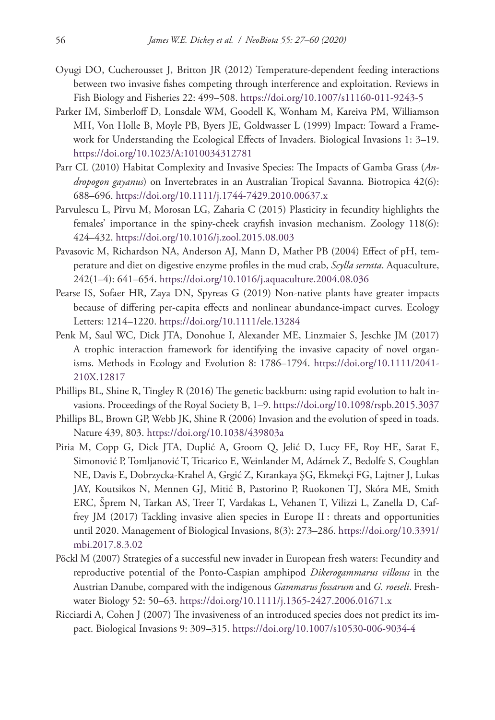- Oyugi DO, Cucherousset J, Britton JR (2012) Temperature-dependent feeding interactions between two invasive fishes competing through interference and exploitation. Reviews in Fish Biology and Fisheries 22: 499–508.<https://doi.org/10.1007/s11160-011-9243-5>
- Parker IM, Simberloff D, Lonsdale WM, Goodell K, Wonham M, Kareiva PM, Williamson MH, Von Holle B, Moyle PB, Byers JE, Goldwasser L (1999) Impact: Toward a Framework for Understanding the Ecological Effects of Invaders. Biological Invasions 1: 3–19. <https://doi.org/10.1023/A:1010034312781>
- Parr CL (2010) Habitat Complexity and Invasive Species: The Impacts of Gamba Grass (*Andropogon gayanus*) on Invertebrates in an Australian Tropical Savanna. Biotropica 42(6): 688–696.<https://doi.org/10.1111/j.1744-7429.2010.00637.x>
- Parvulescu L, Pîrvu M, Morosan LG, Zaharia C (2015) Plasticity in fecundity highlights the females' importance in the spiny-cheek crayfish invasion mechanism. Zoology 118(6): 424–432.<https://doi.org/10.1016/j.zool.2015.08.003>
- Pavasovic M, Richardson NA, Anderson AJ, Mann D, Mather PB (2004) Effect of pH, temperature and diet on digestive enzyme profiles in the mud crab, *Scylla serrata*. Aquaculture, 242(1–4): 641–654. <https://doi.org/10.1016/j.aquaculture.2004.08.036>
- Pearse IS, Sofaer HR, Zaya DN, Spyreas G (2019) Non-native plants have greater impacts because of differing per-capita effects and nonlinear abundance-impact curves. Ecology Letters: 1214–1220. <https://doi.org/10.1111/ele.13284>
- Penk M, Saul WC, Dick JTA, Donohue I, Alexander ME, Linzmaier S, Jeschke JM (2017) A trophic interaction framework for identifying the invasive capacity of novel organisms. Methods in Ecology and Evolution 8: 1786–1794. [https://doi.org/10.1111/2041-](https://doi.org/10.1111/2041-210X.12817) [210X.12817](https://doi.org/10.1111/2041-210X.12817)
- Phillips BL, Shine R, Tingley R (2016) The genetic backburn: using rapid evolution to halt invasions. Proceedings of the Royal Society B, 1–9.<https://doi.org/10.1098/rspb.2015.3037>
- Phillips BL, Brown GP, Webb JK, Shine R (2006) Invasion and the evolution of speed in toads. Nature 439, 803. <https://doi.org/10.1038/439803a>
- Piria M, Copp G, Dick JTA, Duplić A, Groom Q, Jelić D, Lucy FE, Roy HE, Sarat E, Simonović P, Tomljanović T, Tricarico E, Weinlander M, Adámek Z, Bedolfe S, Coughlan NE, Davis E, Dobrzycka-Krahel A, Grgić Z, Kırankaya ŞG, Ekmekçi FG, Lajtner J, Lukas JAY, Koutsikos N, Mennen GJ, Mitić B, Pastorino P, Ruokonen TJ, Skóra ME, Smith ERC, Šprem N, Tarkan AS, Treer T, Vardakas L, Vehanen T, Vilizzi L, Zanella D, Caffrey JM (2017) Tackling invasive alien species in Europe II : threats and opportunities until 2020. Management of Biological Invasions, 8(3): 273–286. [https://doi.org/10.3391/](https://doi.org/10.3391/mbi.2017.8.3.02) [mbi.2017.8.3.02](https://doi.org/10.3391/mbi.2017.8.3.02)
- Pöckl M (2007) Strategies of a successful new invader in European fresh waters: Fecundity and reproductive potential of the Ponto-Caspian amphipod *Dikerogammarus villosus* in the Austrian Danube, compared with the indigenous *Gammarus fossarum* and *G. roeseli*. Freshwater Biology 52: 50–63. <https://doi.org/10.1111/j.1365-2427.2006.01671.x>
- Ricciardi A, Cohen J (2007) The invasiveness of an introduced species does not predict its impact. Biological Invasions 9: 309–315. <https://doi.org/10.1007/s10530-006-9034-4>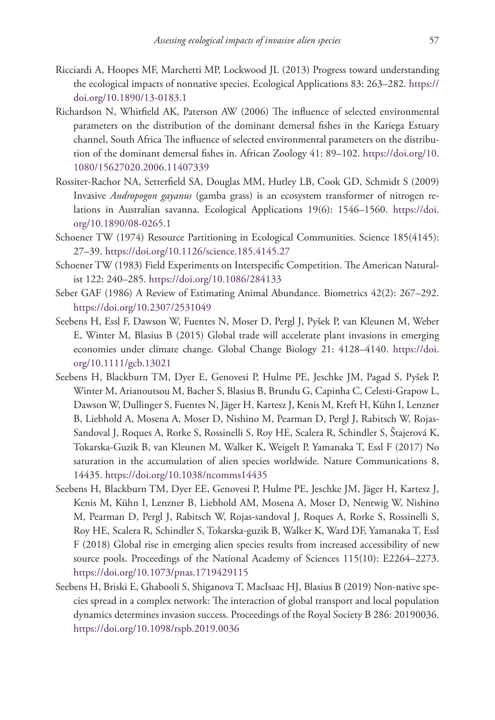- Ricciardi A, Hoopes MF, Marchetti MP, Lockwood JL (2013) Progress toward understanding the ecological impacts of nonnative species. Ecological Applications 83: 263–282. [https://](https://doi.org/10.1890/13-0183.1) [doi.org/10.1890/13-0183.1](https://doi.org/10.1890/13-0183.1)
- Richardson N, Whitfield AK, Paterson AW (2006) The influence of selected environmental parameters on the distribution of the dominant demersal fishes in the Kariega Estuary channel, South Africa The influence of selected environmental parameters on the distribution of the dominant demersal fishes in. African Zoology 41: 89–102. [https://doi.org/10.](https://doi.org/10.1080/15627020.2006.11407339) [1080/15627020.2006.11407339](https://doi.org/10.1080/15627020.2006.11407339)
- Rossiter-Rachor NA, Setterfield SA, Douglas MM, Hutley LB, Cook GD, Schmidt S (2009) Invasive *Andropogon gayanus* (gamba grass) is an ecosystem transformer of nitrogen relations in Australian savanna. Ecological Applications 19(6): 1546–1560. [https://doi.](https://doi.org/10.1890/08-0265.1) [org/10.1890/08-0265.1](https://doi.org/10.1890/08-0265.1)
- Schoener TW (1974) Resource Partitioning in Ecological Communities. Science 185(4145): 27–39.<https://doi.org/10.1126/science.185.4145.27>
- Schoener TW (1983) Field Experiments on Interspecific Competition. The American Naturalist 122: 240–285. <https://doi.org/10.1086/284133>
- Seber GAF (1986) A Review of Estimating Animal Abundance. Biometrics 42(2): 267–292. <https://doi.org/10.2307/2531049>
- Seebens H, Essl F, Dawson W, Fuentes N, Moser D, Pergl J, Pyšek P, van Kleunen M, Weber E, Winter M, Blasius B (2015) Global trade will accelerate plant invasions in emerging economies under climate change. Global Change Biology 21: 4128–4140. [https://doi.](https://doi.org/10.1111/gcb.13021) [org/10.1111/gcb.13021](https://doi.org/10.1111/gcb.13021)
- Seebens H, Blackburn TM, Dyer E, Genovesi P, Hulme PE, Jeschke JM, Pagad S, Pyšek P, Winter M, Arianoutsou M, Bacher S, Blasius B, Brundu G, Capinha C, Celesti-Grapow L, Dawson W, Dullinger S, Fuentes N, Jäger H, Kartesz J, Kenis M, Kreft H, Kühn I, Lenzner B, Liebhold A, Mosena A, Moser D, Nishino M, Pearman D, Pergl J, Rabitsch W, Rojas-Sandoval J, Roques A, Rorke S, Rossinelli S, Roy HE, Scalera R, Schindler S, Štajerová K, Tokarska-Guzik B, van Kleunen M, Walker K, Weigelt P, Yamanaka T, Essl F (2017) No saturation in the accumulation of alien species worldwide. Nature Communications 8, 14435.<https://doi.org/10.1038/ncomms14435>
- Seebens H, Blackburn TM, Dyer EE, Genovesi P, Hulme PE, Jeschke JM, Jäger H, Kartesz J, Kenis M, Kühn I, Lenzner B, Liebhold AM, Mosena A, Moser D, Nentwig W, Nishino M, Pearman D, Pergl J, Rabitsch W, Rojas-sandoval J, Roques A, Rorke S, Rossinelli S, Roy HE, Scalera R, Schindler S, Tokarska-guzik B, Walker K, Ward DF, Yamanaka T, Essl F (2018) Global rise in emerging alien species results from increased accessibility of new source pools. Proceedings of the National Academy of Sciences 115(10): E2264–2273. <https://doi.org/10.1073/pnas.1719429115>
- Seebens H, Briski E, Ghabooli S, Shiganova T, MacIsaac HJ, Blasius B (2019) Non-native species spread in a complex network: The interaction of global transport and local population dynamics determines invasion success. Proceedings of the Royal Society B 286: 20190036. <https://doi.org/10.1098/rspb.2019.0036>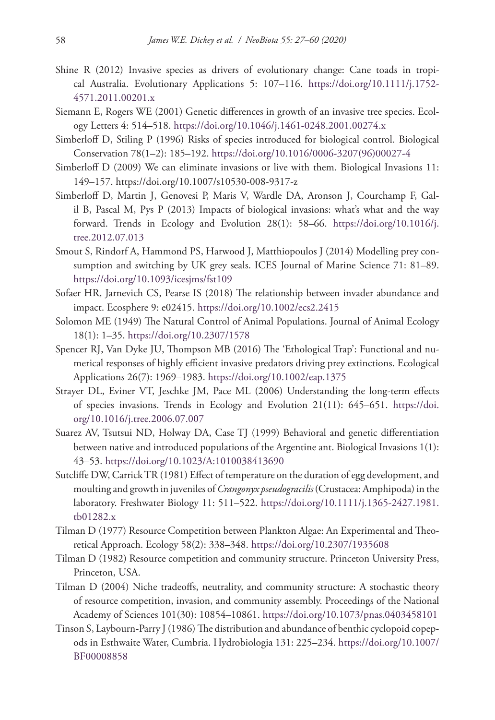- Shine R (2012) Invasive species as drivers of evolutionary change: Cane toads in tropical Australia. Evolutionary Applications 5: 107–116. [https://doi.org/10.1111/j.1752-](https://doi.org/10.1111/j.1752-4571.2011.00201.x) [4571.2011.00201.x](https://doi.org/10.1111/j.1752-4571.2011.00201.x)
- Siemann E, Rogers WE (2001) Genetic differences in growth of an invasive tree species. Ecology Letters 4: 514–518.<https://doi.org/10.1046/j.1461-0248.2001.00274.x>
- Simberloff D, Stiling P (1996) Risks of species introduced for biological control. Biological Conservation 78(1–2): 185–192. [https://doi.org/10.1016/0006-3207\(96\)00027-4](https://doi.org/10.1016/0006-3207(96)00027-4)
- Simberloff D (2009) We can eliminate invasions or live with them. Biological Invasions 11: 149–157. <https://doi.org/10.1007/s10530-008-9317-z>
- Simberloff D, Martin J, Genovesi P, Maris V, Wardle DA, Aronson J, Courchamp F, Galil B, Pascal M, Pys P (2013) Impacts of biological invasions: what's what and the way forward. Trends in Ecology and Evolution 28(1): 58–66. [https://doi.org/10.1016/j.](https://doi.org/10.1016/j.tree.2012.07.013) [tree.2012.07.013](https://doi.org/10.1016/j.tree.2012.07.013)
- Smout S, Rindorf A, Hammond PS, Harwood J, Matthiopoulos J (2014) Modelling prey consumption and switching by UK grey seals. ICES Journal of Marine Science 71: 81–89. <https://doi.org/10.1093/icesjms/fst109>
- Sofaer HR, Jarnevich CS, Pearse IS (2018) The relationship between invader abundance and impact. Ecosphere 9: e02415. <https://doi.org/10.1002/ecs2.2415>
- Solomon ME (1949) The Natural Control of Animal Populations. Journal of Animal Ecology 18(1): 1–35. <https://doi.org/10.2307/1578>
- Spencer RJ, Van Dyke JU, Thompson MB (2016) The 'Ethological Trap': Functional and numerical responses of highly efficient invasive predators driving prey extinctions. Ecological Applications 26(7): 1969–1983. <https://doi.org/10.1002/eap.1375>
- Strayer DL, Eviner VT, Jeschke JM, Pace ML (2006) Understanding the long-term effects of species invasions. Trends in Ecology and Evolution 21(11): 645–651. [https://doi.](https://doi.org/10.1016/j.tree.2006.07.007) [org/10.1016/j.tree.2006.07.007](https://doi.org/10.1016/j.tree.2006.07.007)
- Suarez AV, Tsutsui ND, Holway DA, Case TJ (1999) Behavioral and genetic differentiation between native and introduced populations of the Argentine ant. Biological Invasions 1(1): 43–53.<https://doi.org/10.1023/A:1010038413690>
- Sutcliffe DW, Carrick TR (1981) Effect of temperature on the duration of egg development, and moulting and growth in juveniles of *Crangonyx pseudogracilis* (Crustacea: Amphipoda) in the laboratory. Freshwater Biology 11: 511–522. [https://doi.org/10.1111/j.1365-2427.1981.](https://doi.org/10.1111/j.1365-2427.1981.tb01282.x) [tb01282.x](https://doi.org/10.1111/j.1365-2427.1981.tb01282.x)
- Tilman D (1977) Resource Competition between Plankton Algae: An Experimental and Theoretical Approach. Ecology 58(2): 338–348. <https://doi.org/10.2307/1935608>
- Tilman D (1982) Resource competition and community structure. Princeton University Press, Princeton, USA.
- Tilman D (2004) Niche tradeoffs, neutrality, and community structure: A stochastic theory of resource competition, invasion, and community assembly. Proceedings of the National Academy of Sciences 101(30): 10854–10861.<https://doi.org/10.1073/pnas.0403458101>
- Tinson S, Laybourn-Parry J (1986) The distribution and abundance of benthic cyclopoid copepods in Esthwaite Water, Cumbria. Hydrobiologia 131: 225–234. [https://doi.org/10.1007/](https://doi.org/10.1007/BF00008858) [BF00008858](https://doi.org/10.1007/BF00008858)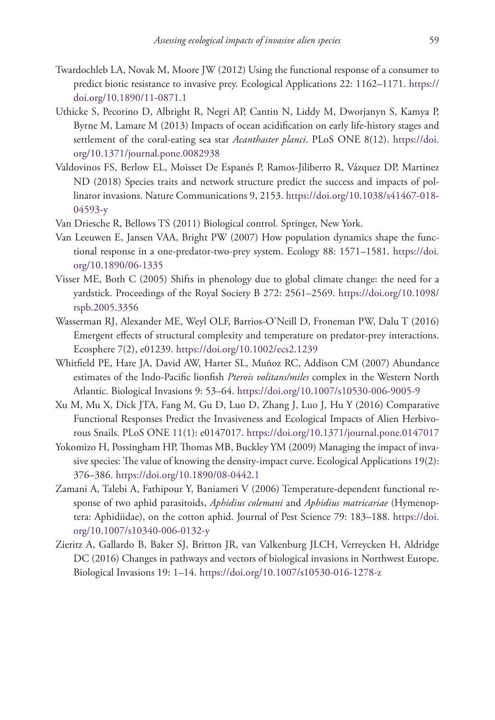- Twardochleb LA, Novak M, Moore JW (2012) Using the functional response of a consumer to predict biotic resistance to invasive prey. Ecological Applications 22: 1162–1171. [https://](https://doi.org/10.1890/11-0871.1) [doi.org/10.1890/11-0871.1](https://doi.org/10.1890/11-0871.1)
- Uthicke S, Pecorino D, Albright R, Negri AP, Cantin N, Liddy M, Dworjanyn S, Kamya P, Byrne M, Lamare M (2013) Impacts of ocean acidification on early life-history stages and settlement of the coral-eating sea star *Acanthaster planci*. PLoS ONE 8(12). [https://doi.](https://doi.org/10.1371/journal.pone.0082938) [org/10.1371/journal.pone.0082938](https://doi.org/10.1371/journal.pone.0082938)
- Valdovinos FS, Berlow EL, Moisset De Espanés P, Ramos-Jiliberto R, Vázquez DP, Martinez ND (2018) Species traits and network structure predict the success and impacts of pollinator invasions. Nature Communications 9, 2153. [https://doi.org/10.1038/s41467-018-](https://doi.org/10.1038/s41467-018-04593-y) [04593-y](https://doi.org/10.1038/s41467-018-04593-y)
- Van Driesche R, Bellows TS (2011) Biological control. Springer, New York.
- Van Leeuwen E, Jansen VAA, Bright PW (2007) How population dynamics shape the functional response in a one-predator-two-prey system. Ecology 88: 1571–1581. [https://doi.](https://doi.org/10.1890/06-1335) [org/10.1890/06-1335](https://doi.org/10.1890/06-1335)
- Visser ME, Both C (2005) Shifts in phenology due to global climate change: the need for a yardstick. Proceedings of the Royal Society B 272: 2561–2569. [https://doi.org/10.1098/](https://doi.org/10.1098/rspb.2005.3356) [rspb.2005.3356](https://doi.org/10.1098/rspb.2005.3356)
- Wasserman RJ, Alexander ME, Weyl OLF, Barrios-O'Neill D, Froneman PW, Dalu T (2016) Emergent effects of structural complexity and temperature on predator-prey interactions. Ecosphere 7(2), e01239. <https://doi.org/10.1002/ecs2.1239>
- Whitfield PE, Hare JA, David AW, Harter SL, Muñoz RC, Addison CM (2007) Abundance estimates of the Indo-Pacific lionfish *Pterois volitans/miles* complex in the Western North Atlantic. Biological Invasions 9: 53–64.<https://doi.org/10.1007/s10530-006-9005-9>
- Xu M, Mu X, Dick JTA, Fang M, Gu D, Luo D, Zhang J, Luo J, Hu Y (2016) Comparative Functional Responses Predict the Invasiveness and Ecological Impacts of Alien Herbivorous Snails. PLoS ONE 11(1): e0147017.<https://doi.org/10.1371/journal.pone.0147017>
- Yokomizo H, Possingham HP, Thomas MB, Buckley YM (2009) Managing the impact of invasive species: The value of knowing the density-impact curve. Ecological Applications 19(2): 376–386.<https://doi.org/10.1890/08-0442.1>
- Zamani A, Talebi A, Fathipour Y, Baniameri V (2006) Temperature-dependent functional response of two aphid parasitoids, *Aphidius colemani* and *Aphidius matricariae* (Hymenoptera: Aphidiidae), on the cotton aphid. Journal of Pest Science 79: 183–188. [https://doi.](https://doi.org/10.1007/s10340-006-0132-y) [org/10.1007/s10340-006-0132-y](https://doi.org/10.1007/s10340-006-0132-y)
- Zieritz A, Gallardo B, Baker SJ, Britton JR, van Valkenburg JLCH, Verreycken H, Aldridge DC (2016) Changes in pathways and vectors of biological invasions in Northwest Europe. Biological Invasions 19: 1–14. <https://doi.org/10.1007/s10530-016-1278-z>